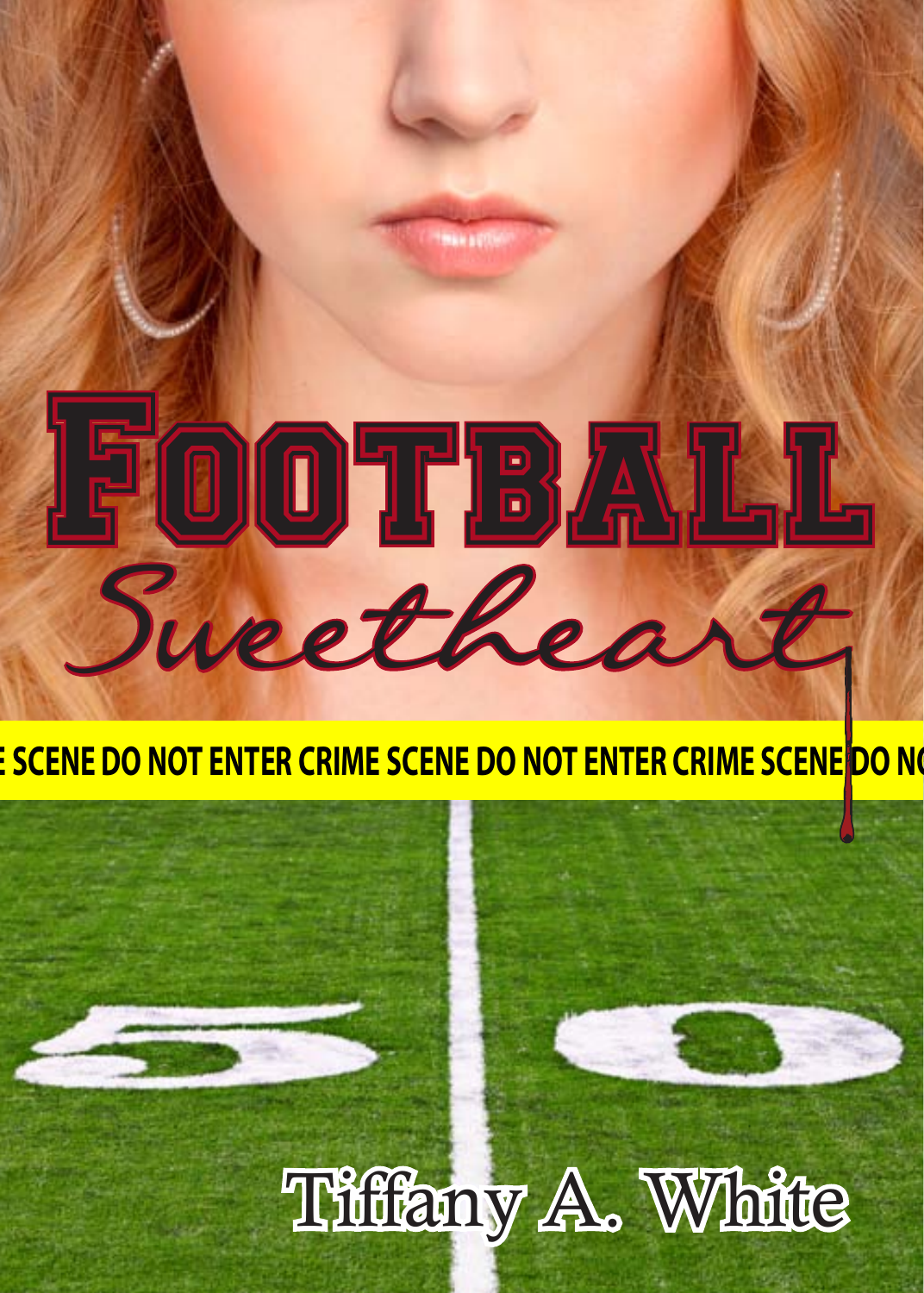# Football Sweethea

### <u>ESCENE DO NOT ENTER CRIME SCENE DO NOT ENTER CRIME SCENE DO N</u>

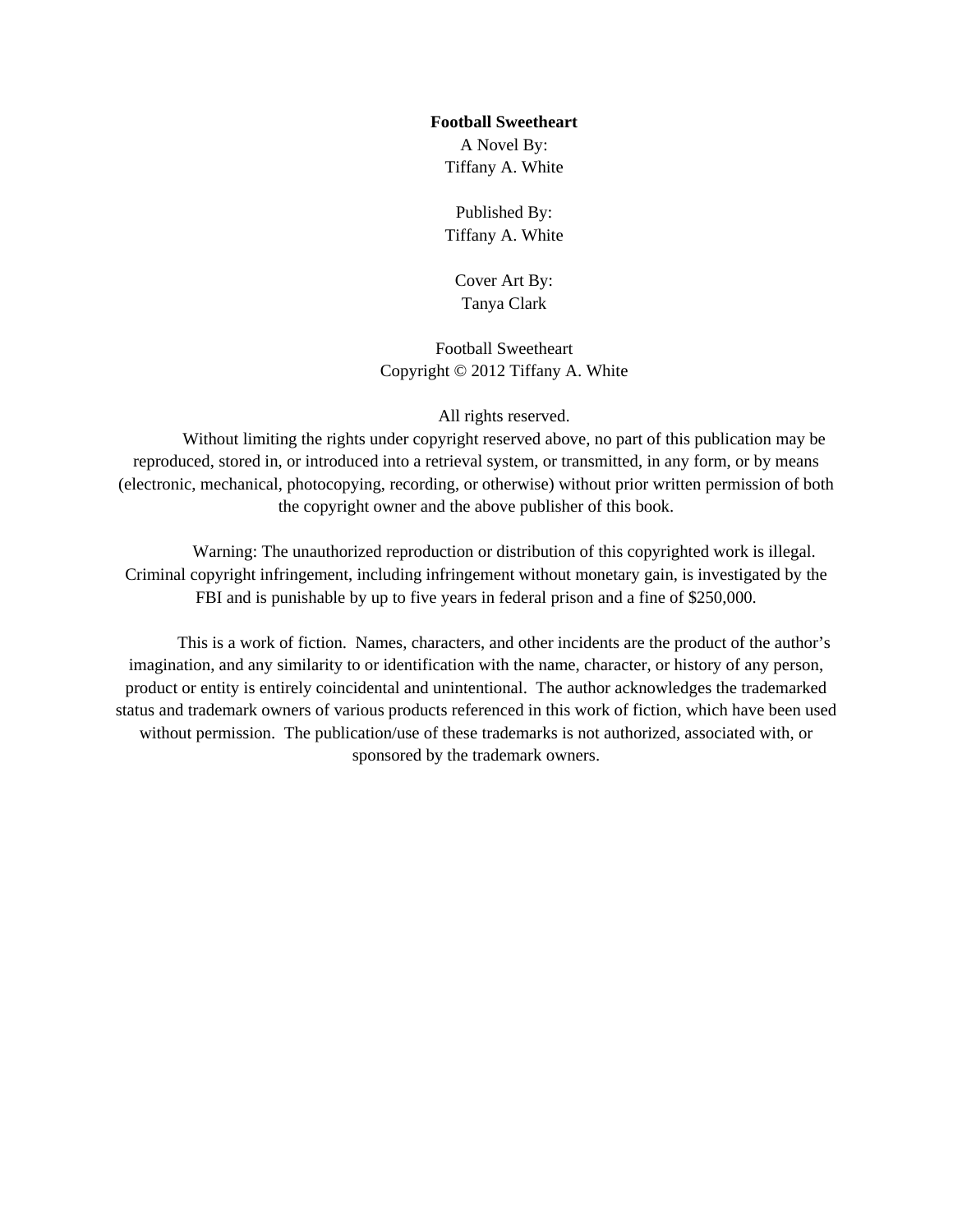#### **Football Sweetheart**

A Novel By: Tiffany A. White

Published By: Tiffany A. White

Cover Art By: Tanya Clark

Football Sweetheart Copyright © 2012 Tiffany A. White

All rights reserved.

Without limiting the rights under copyright reserved above, no part of this publication may be reproduced, stored in, or introduced into a retrieval system, or transmitted, in any form, or by means (electronic, mechanical, photocopying, recording, or otherwise) without prior written permission of both the copyright owner and the above publisher of this book.

Warning: The unauthorized reproduction or distribution of this copyrighted work is illegal. Criminal copyright infringement, including infringement without monetary gain, is investigated by the FBI and is punishable by up to five years in federal prison and a fine of \$250,000.

This is a work of fiction. Names, characters, and other incidents are the product of the author's imagination, and any similarity to or identification with the name, character, or history of any person, product or entity is entirely coincidental and unintentional. The author acknowledges the trademarked status and trademark owners of various products referenced in this work of fiction, which have been used without permission. The publication/use of these trademarks is not authorized, associated with, or sponsored by the trademark owners.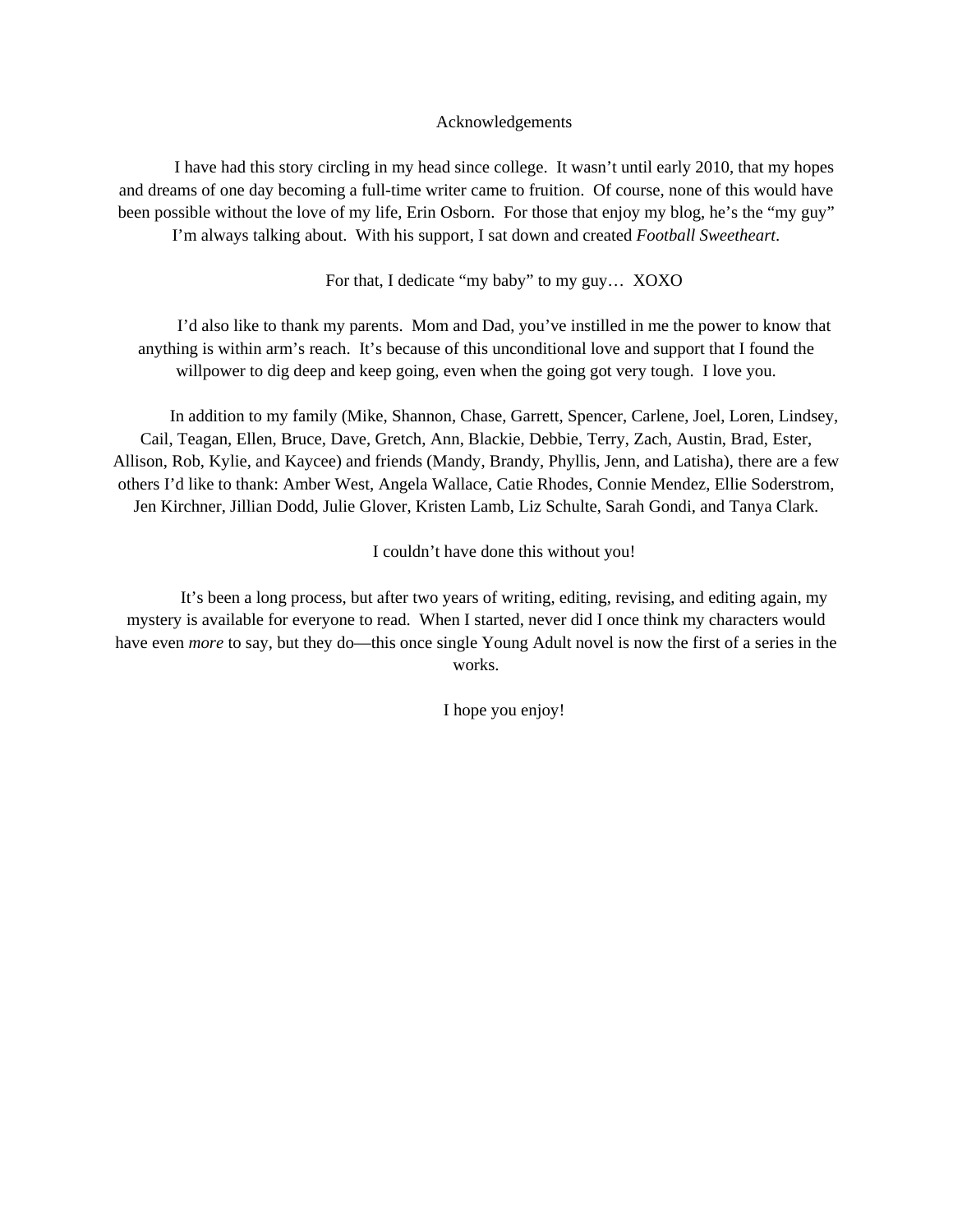#### Acknowledgements

I have had this story circling in my head since college. It wasn't until early 2010, that my hopes and dreams of one day becoming a full-time writer came to fruition. Of course, none of this would have been possible without the love of my life, Erin Osborn. For those that enjoy my blog, he's the "my guy" I'm always talking about. With his support, I sat down and created *Football Sweetheart*.

For that, I dedicate "my baby" to my guy… XOXO

I'd also like to thank my parents. Mom and Dad, you've instilled in me the power to know that anything is within arm's reach. It's because of this unconditional love and support that I found the willpower to dig deep and keep going, even when the going got very tough. I love you.

In addition to my family (Mike, Shannon, Chase, Garrett, Spencer, Carlene, Joel, Loren, Lindsey, Cail, Teagan, Ellen, Bruce, Dave, Gretch, Ann, Blackie, Debbie, Terry, Zach, Austin, Brad, Ester, Allison, Rob, Kylie, and Kaycee) and friends (Mandy, Brandy, Phyllis, Jenn, and Latisha), there are a few others I'd like to thank: Amber West, Angela Wallace, Catie Rhodes, Connie Mendez, Ellie Soderstrom, Jen Kirchner, Jillian Dodd, Julie Glover, Kristen Lamb, Liz Schulte, Sarah Gondi, and Tanya Clark.

I couldn't have done this without you!

It's been a long process, but after two years of writing, editing, revising, and editing again, my mystery is available for everyone to read. When I started, never did I once think my characters would have even *more* to say, but they do—this once single Young Adult novel is now the first of a series in the works.

I hope you enjoy!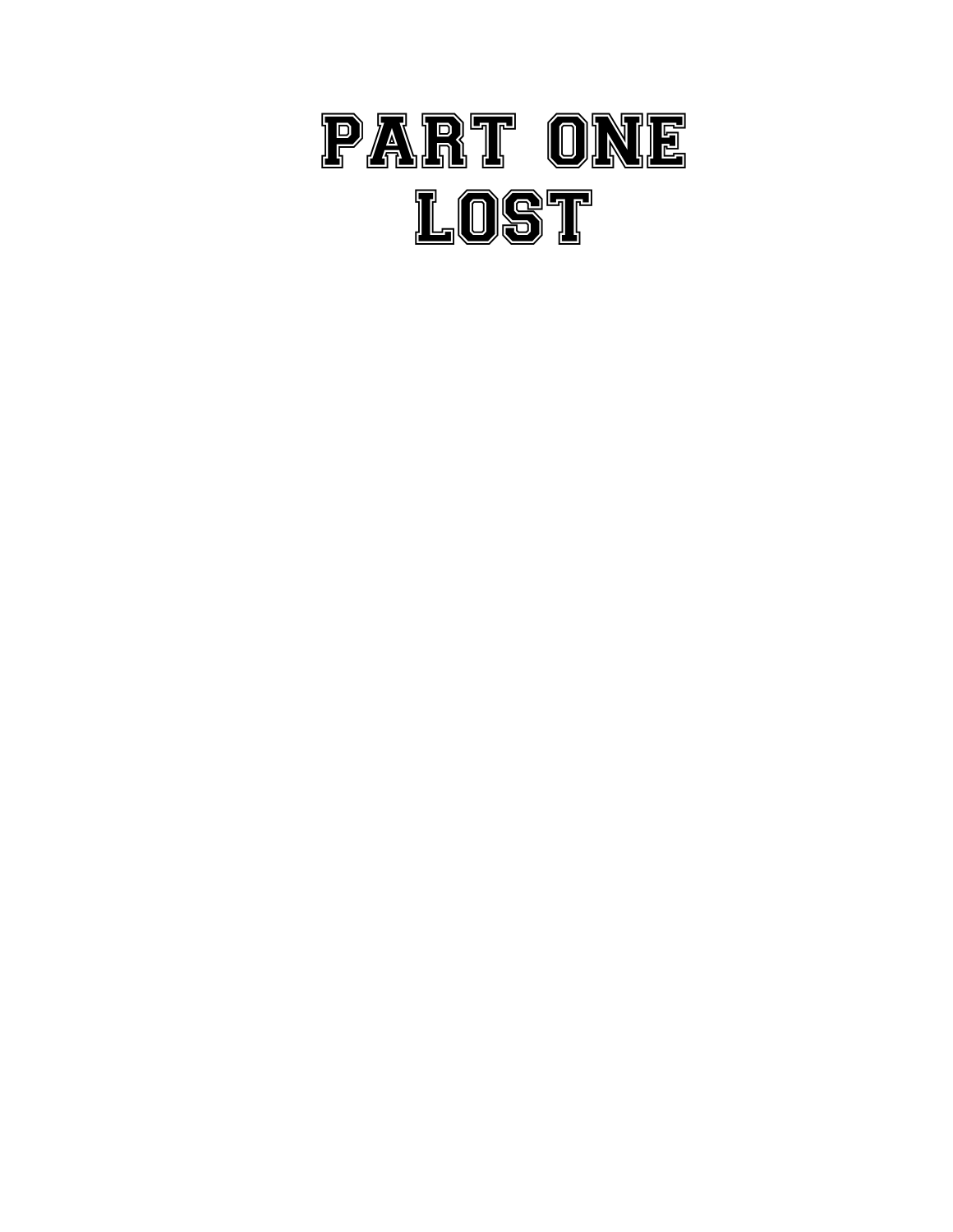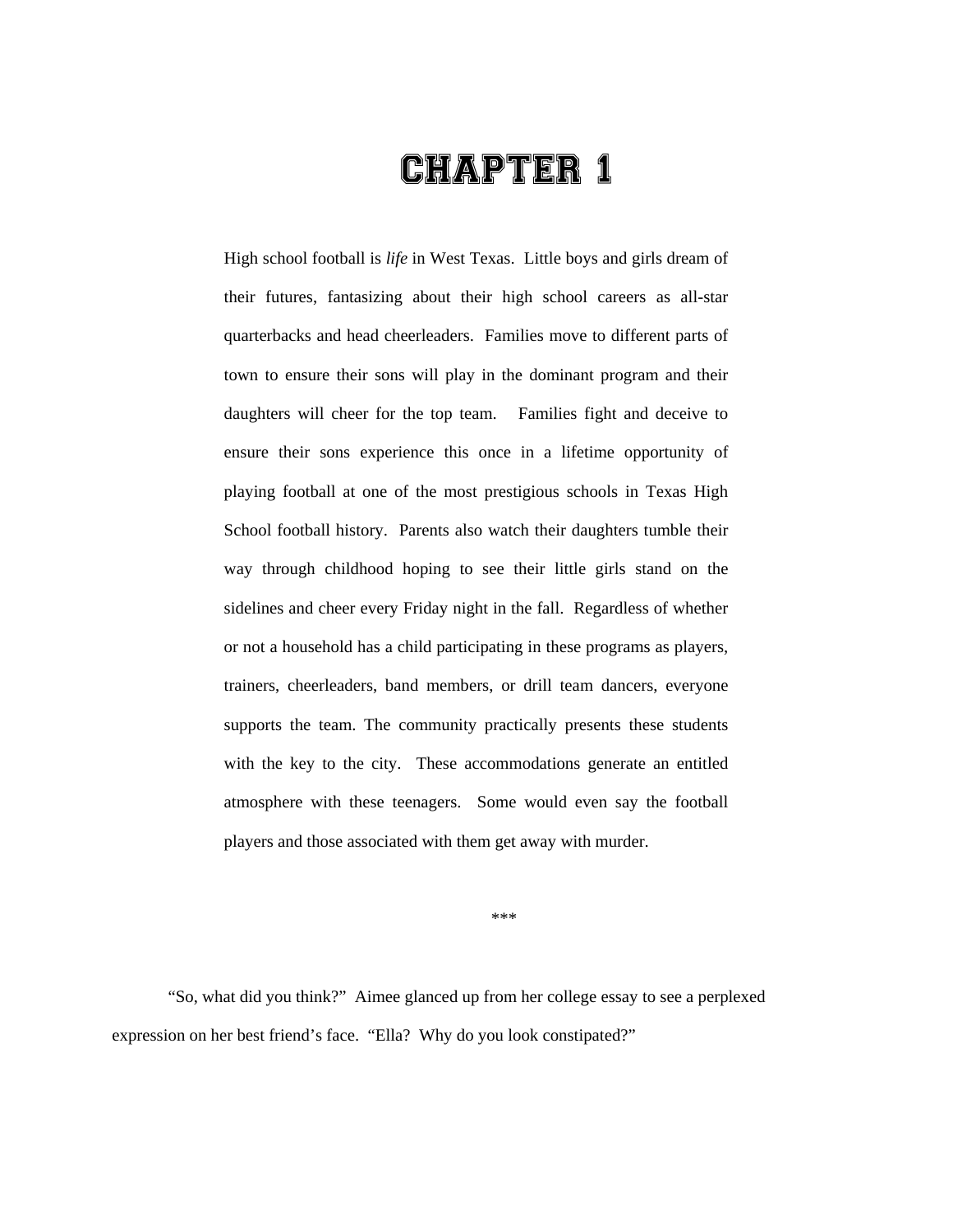## CHAPTER 1

High school football is *life* in West Texas. Little boys and girls dream of their futures, fantasizing about their high school careers as all-star quarterbacks and head cheerleaders. Families move to different parts of town to ensure their sons will play in the dominant program and their daughters will cheer for the top team. Families fight and deceive to ensure their sons experience this once in a lifetime opportunity of playing football at one of the most prestigious schools in Texas High School football history. Parents also watch their daughters tumble their way through childhood hoping to see their little girls stand on the sidelines and cheer every Friday night in the fall. Regardless of whether or not a household has a child participating in these programs as players, trainers, cheerleaders, band members, or drill team dancers, everyone supports the team. The community practically presents these students with the key to the city. These accommodations generate an entitled atmosphere with these teenagers. Some would even say the football players and those associated with them get away with murder.

\*\*\*

"So, what did you think?" Aimee glanced up from her college essay to see a perplexed expression on her best friend's face. "Ella? Why do you look constipated?"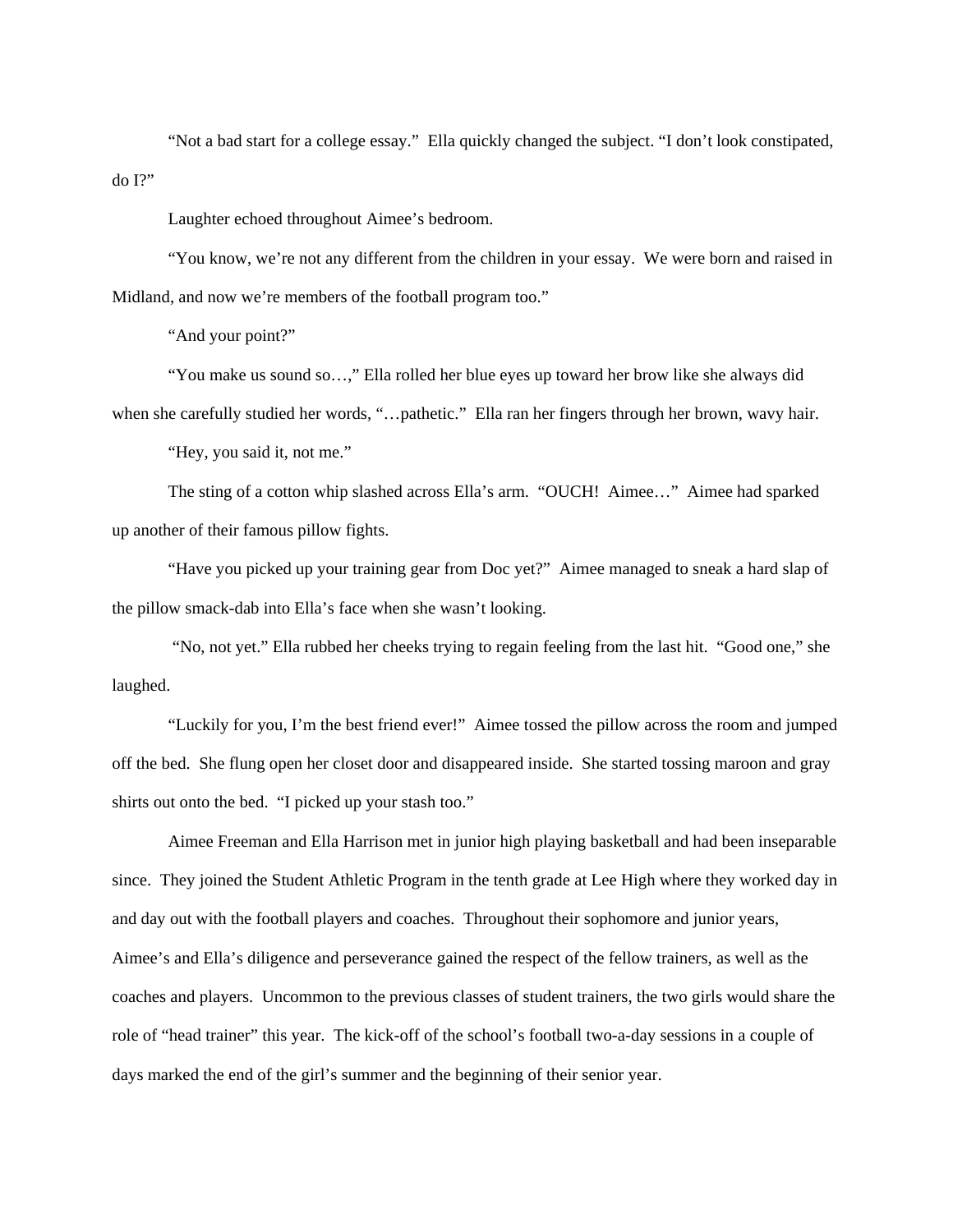"Not a bad start for a college essay." Ella quickly changed the subject. "I don't look constipated, do I?"

Laughter echoed throughout Aimee's bedroom.

"You know, we're not any different from the children in your essay. We were born and raised in Midland, and now we're members of the football program too."

"And your point?"

"You make us sound so…," Ella rolled her blue eyes up toward her brow like she always did when she carefully studied her words, "…pathetic." Ella ran her fingers through her brown, wavy hair.

"Hey, you said it, not me."

The sting of a cotton whip slashed across Ella's arm. "OUCH! Aimee…" Aimee had sparked up another of their famous pillow fights.

"Have you picked up your training gear from Doc yet?" Aimee managed to sneak a hard slap of the pillow smack-dab into Ella's face when she wasn't looking.

 "No, not yet." Ella rubbed her cheeks trying to regain feeling from the last hit. "Good one," she laughed.

"Luckily for you, I'm the best friend ever!" Aimee tossed the pillow across the room and jumped off the bed. She flung open her closet door and disappeared inside. She started tossing maroon and gray shirts out onto the bed. "I picked up your stash too."

Aimee Freeman and Ella Harrison met in junior high playing basketball and had been inseparable since. They joined the Student Athletic Program in the tenth grade at Lee High where they worked day in and day out with the football players and coaches. Throughout their sophomore and junior years, Aimee's and Ella's diligence and perseverance gained the respect of the fellow trainers, as well as the coaches and players. Uncommon to the previous classes of student trainers, the two girls would share the role of "head trainer" this year. The kick-off of the school's football two-a-day sessions in a couple of days marked the end of the girl's summer and the beginning of their senior year.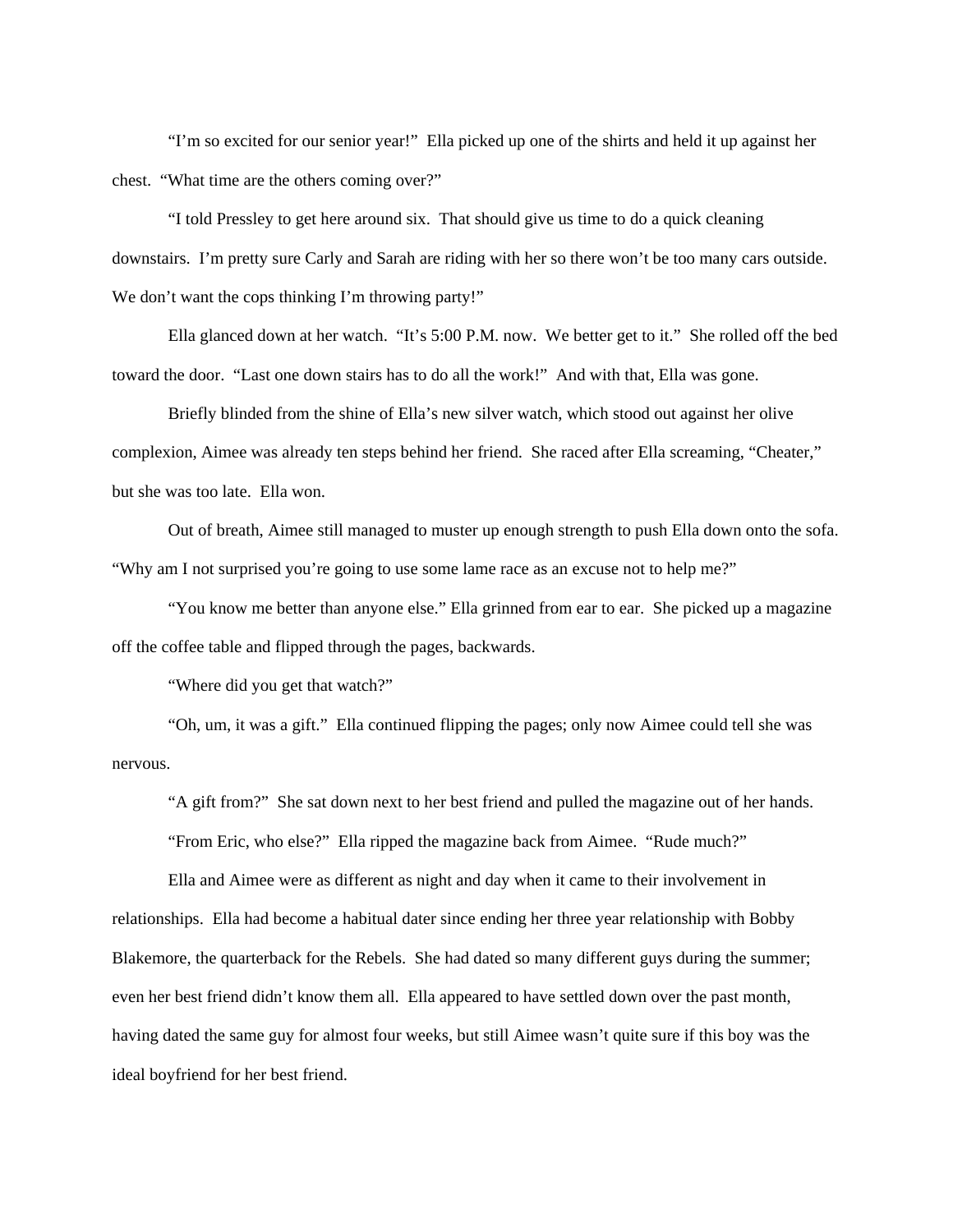"I'm so excited for our senior year!" Ella picked up one of the shirts and held it up against her chest. "What time are the others coming over?"

"I told Pressley to get here around six. That should give us time to do a quick cleaning downstairs. I'm pretty sure Carly and Sarah are riding with her so there won't be too many cars outside. We don't want the cops thinking I'm throwing party!"

Ella glanced down at her watch. "It's 5:00 P.M. now. We better get to it." She rolled off the bed toward the door. "Last one down stairs has to do all the work!" And with that, Ella was gone.

Briefly blinded from the shine of Ella's new silver watch, which stood out against her olive complexion, Aimee was already ten steps behind her friend. She raced after Ella screaming, "Cheater," but she was too late. Ella won.

Out of breath, Aimee still managed to muster up enough strength to push Ella down onto the sofa. "Why am I not surprised you're going to use some lame race as an excuse not to help me?"

"You know me better than anyone else." Ella grinned from ear to ear. She picked up a magazine off the coffee table and flipped through the pages, backwards.

"Where did you get that watch?"

"Oh, um, it was a gift." Ella continued flipping the pages; only now Aimee could tell she was nervous.

"A gift from?" She sat down next to her best friend and pulled the magazine out of her hands.

"From Eric, who else?" Ella ripped the magazine back from Aimee. "Rude much?"

Ella and Aimee were as different as night and day when it came to their involvement in relationships. Ella had become a habitual dater since ending her three year relationship with Bobby Blakemore, the quarterback for the Rebels. She had dated so many different guys during the summer; even her best friend didn't know them all. Ella appeared to have settled down over the past month, having dated the same guy for almost four weeks, but still Aimee wasn't quite sure if this boy was the ideal boyfriend for her best friend.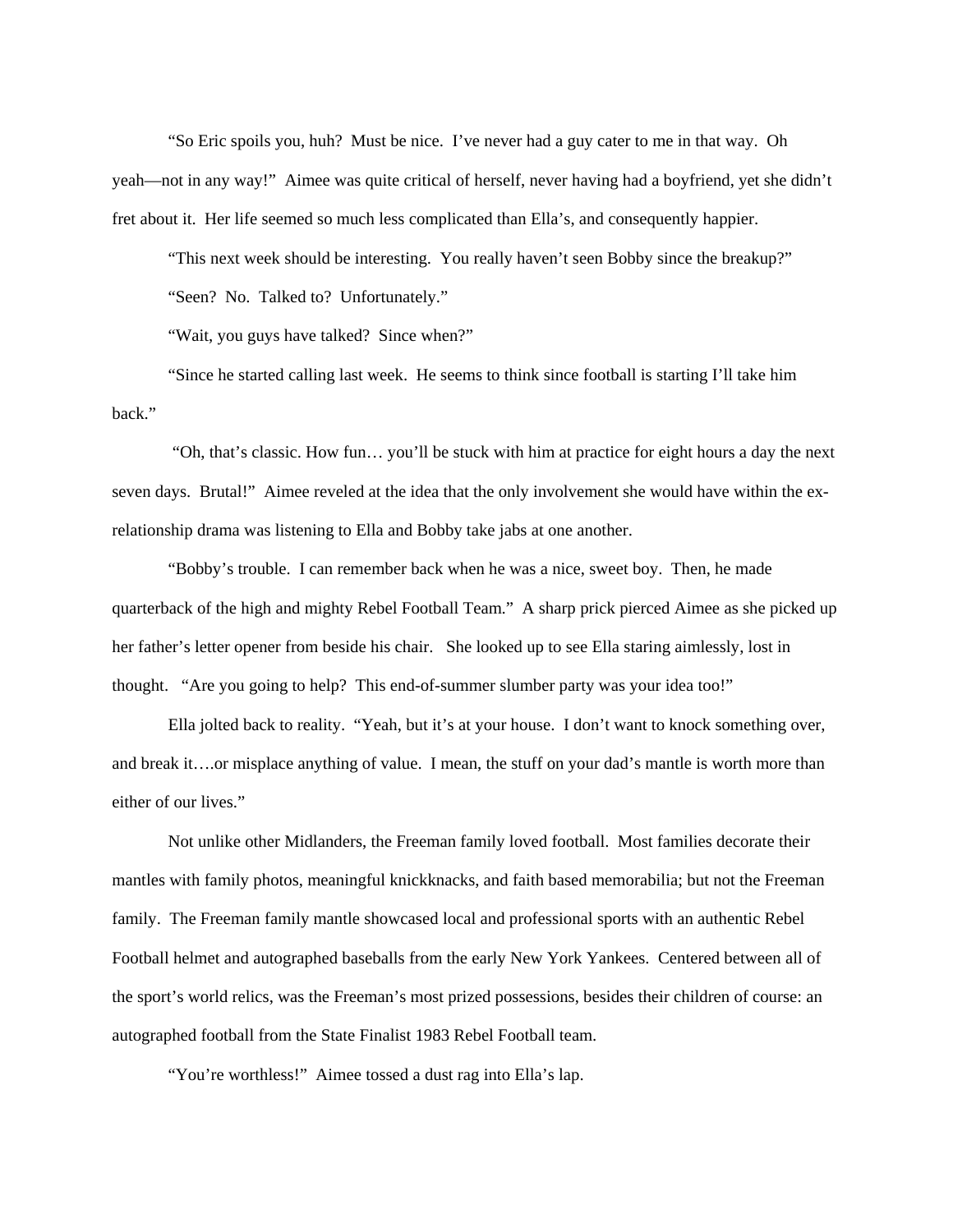"So Eric spoils you, huh? Must be nice. I've never had a guy cater to me in that way. Oh yeah—not in any way!" Aimee was quite critical of herself, never having had a boyfriend, yet she didn't fret about it. Her life seemed so much less complicated than Ella's, and consequently happier.

"This next week should be interesting. You really haven't seen Bobby since the breakup?" "Seen? No. Talked to? Unfortunately."

"Wait, you guys have talked? Since when?"

"Since he started calling last week. He seems to think since football is starting I'll take him back."

 "Oh, that's classic. How fun… you'll be stuck with him at practice for eight hours a day the next seven days. Brutal!" Aimee reveled at the idea that the only involvement she would have within the exrelationship drama was listening to Ella and Bobby take jabs at one another.

"Bobby's trouble. I can remember back when he was a nice, sweet boy. Then, he made quarterback of the high and mighty Rebel Football Team." A sharp prick pierced Aimee as she picked up her father's letter opener from beside his chair. She looked up to see Ella staring aimlessly, lost in thought. "Are you going to help? This end-of-summer slumber party was your idea too!"

Ella jolted back to reality. "Yeah, but it's at your house. I don't want to knock something over, and break it….or misplace anything of value. I mean, the stuff on your dad's mantle is worth more than either of our lives."

Not unlike other Midlanders, the Freeman family loved football. Most families decorate their mantles with family photos, meaningful knickknacks, and faith based memorabilia; but not the Freeman family. The Freeman family mantle showcased local and professional sports with an authentic Rebel Football helmet and autographed baseballs from the early New York Yankees. Centered between all of the sport's world relics, was the Freeman's most prized possessions, besides their children of course: an autographed football from the State Finalist 1983 Rebel Football team.

"You're worthless!" Aimee tossed a dust rag into Ella's lap.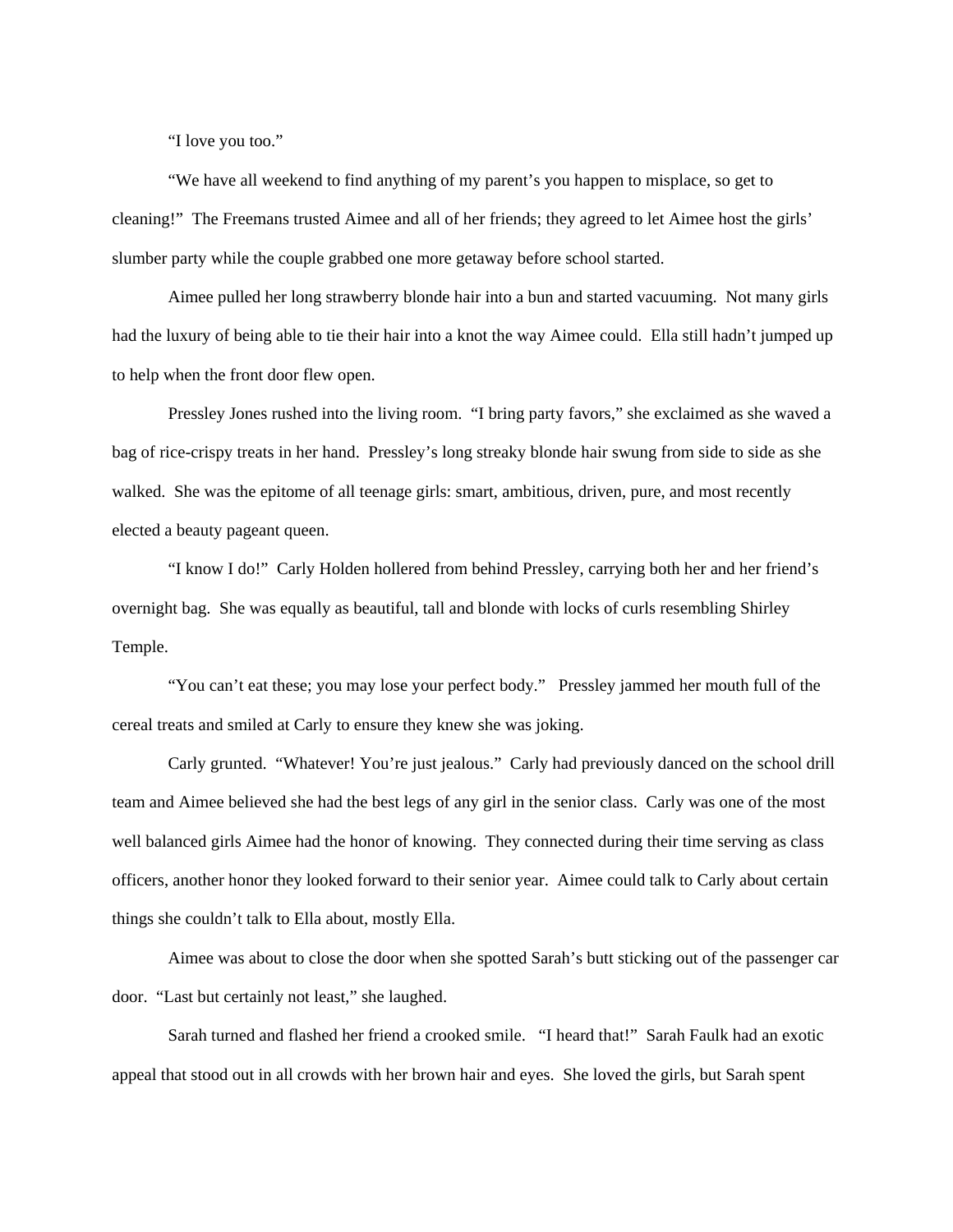"I love you too."

"We have all weekend to find anything of my parent's you happen to misplace, so get to cleaning!" The Freemans trusted Aimee and all of her friends; they agreed to let Aimee host the girls' slumber party while the couple grabbed one more getaway before school started.

Aimee pulled her long strawberry blonde hair into a bun and started vacuuming. Not many girls had the luxury of being able to tie their hair into a knot the way Aimee could. Ella still hadn't jumped up to help when the front door flew open.

Pressley Jones rushed into the living room. "I bring party favors," she exclaimed as she waved a bag of rice-crispy treats in her hand. Pressley's long streaky blonde hair swung from side to side as she walked. She was the epitome of all teenage girls: smart, ambitious, driven, pure, and most recently elected a beauty pageant queen.

"I know I do!" Carly Holden hollered from behind Pressley, carrying both her and her friend's overnight bag. She was equally as beautiful, tall and blonde with locks of curls resembling Shirley Temple.

"You can't eat these; you may lose your perfect body." Pressley jammed her mouth full of the cereal treats and smiled at Carly to ensure they knew she was joking.

Carly grunted. "Whatever! You're just jealous." Carly had previously danced on the school drill team and Aimee believed she had the best legs of any girl in the senior class. Carly was one of the most well balanced girls Aimee had the honor of knowing. They connected during their time serving as class officers, another honor they looked forward to their senior year. Aimee could talk to Carly about certain things she couldn't talk to Ella about, mostly Ella.

Aimee was about to close the door when she spotted Sarah's butt sticking out of the passenger car door. "Last but certainly not least," she laughed.

Sarah turned and flashed her friend a crooked smile. "I heard that!" Sarah Faulk had an exotic appeal that stood out in all crowds with her brown hair and eyes. She loved the girls, but Sarah spent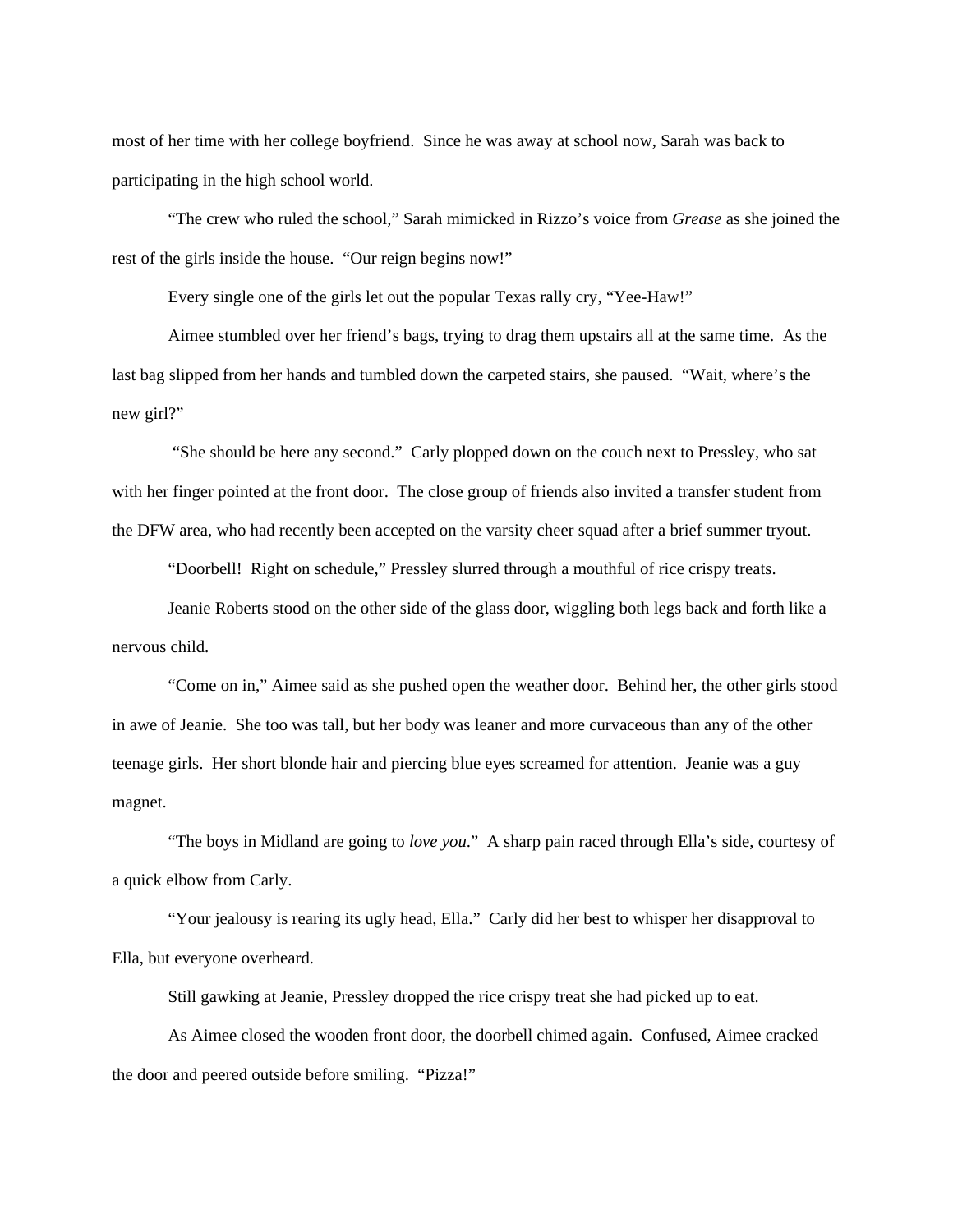most of her time with her college boyfriend. Since he was away at school now, Sarah was back to participating in the high school world.

"The crew who ruled the school," Sarah mimicked in Rizzo's voice from *Grease* as she joined the rest of the girls inside the house. "Our reign begins now!"

Every single one of the girls let out the popular Texas rally cry, "Yee-Haw!"

Aimee stumbled over her friend's bags, trying to drag them upstairs all at the same time. As the last bag slipped from her hands and tumbled down the carpeted stairs, she paused. "Wait, where's the new girl?"

 "She should be here any second." Carly plopped down on the couch next to Pressley, who sat with her finger pointed at the front door. The close group of friends also invited a transfer student from the DFW area, who had recently been accepted on the varsity cheer squad after a brief summer tryout.

"Doorbell! Right on schedule," Pressley slurred through a mouthful of rice crispy treats.

Jeanie Roberts stood on the other side of the glass door, wiggling both legs back and forth like a nervous child.

"Come on in," Aimee said as she pushed open the weather door. Behind her, the other girls stood in awe of Jeanie. She too was tall, but her body was leaner and more curvaceous than any of the other teenage girls. Her short blonde hair and piercing blue eyes screamed for attention. Jeanie was a guy magnet.

"The boys in Midland are going to *love you*." A sharp pain raced through Ella's side, courtesy of a quick elbow from Carly.

"Your jealousy is rearing its ugly head, Ella." Carly did her best to whisper her disapproval to Ella, but everyone overheard.

Still gawking at Jeanie, Pressley dropped the rice crispy treat she had picked up to eat.

As Aimee closed the wooden front door, the doorbell chimed again. Confused, Aimee cracked the door and peered outside before smiling. "Pizza!"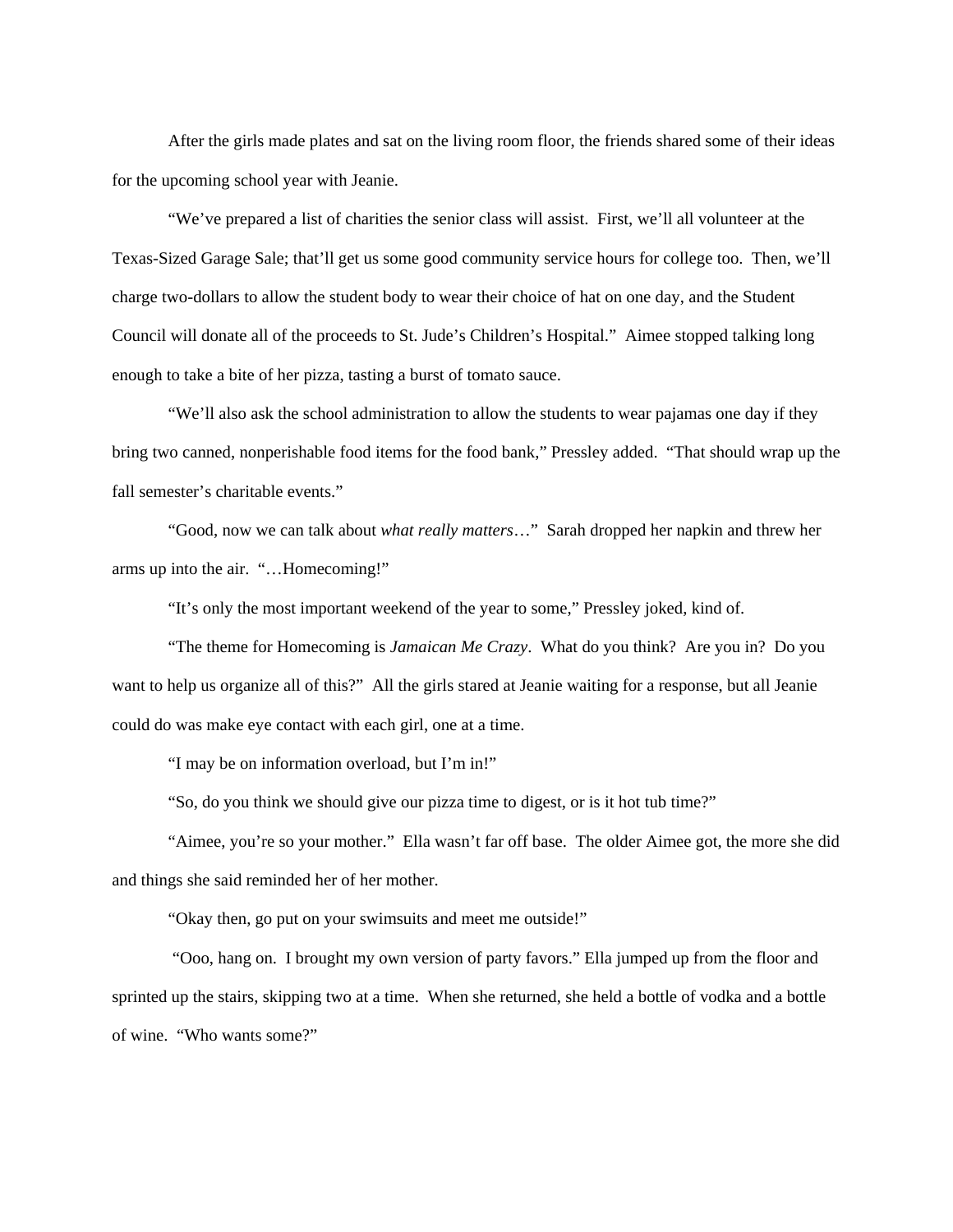After the girls made plates and sat on the living room floor, the friends shared some of their ideas for the upcoming school year with Jeanie.

"We've prepared a list of charities the senior class will assist. First, we'll all volunteer at the Texas-Sized Garage Sale; that'll get us some good community service hours for college too. Then, we'll charge two-dollars to allow the student body to wear their choice of hat on one day, and the Student Council will donate all of the proceeds to St. Jude's Children's Hospital." Aimee stopped talking long enough to take a bite of her pizza, tasting a burst of tomato sauce.

"We'll also ask the school administration to allow the students to wear pajamas one day if they bring two canned, nonperishable food items for the food bank," Pressley added. "That should wrap up the fall semester's charitable events."

"Good, now we can talk about *what really matters*…" Sarah dropped her napkin and threw her arms up into the air. "…Homecoming!"

"It's only the most important weekend of the year to some," Pressley joked, kind of.

"The theme for Homecoming is *Jamaican Me Crazy*. What do you think? Are you in? Do you want to help us organize all of this?" All the girls stared at Jeanie waiting for a response, but all Jeanie could do was make eye contact with each girl, one at a time.

"I may be on information overload, but I'm in!"

"So, do you think we should give our pizza time to digest, or is it hot tub time?"

"Aimee, you're so your mother." Ella wasn't far off base. The older Aimee got, the more she did and things she said reminded her of her mother.

"Okay then, go put on your swimsuits and meet me outside!"

 "Ooo, hang on. I brought my own version of party favors." Ella jumped up from the floor and sprinted up the stairs, skipping two at a time. When she returned, she held a bottle of vodka and a bottle of wine. "Who wants some?"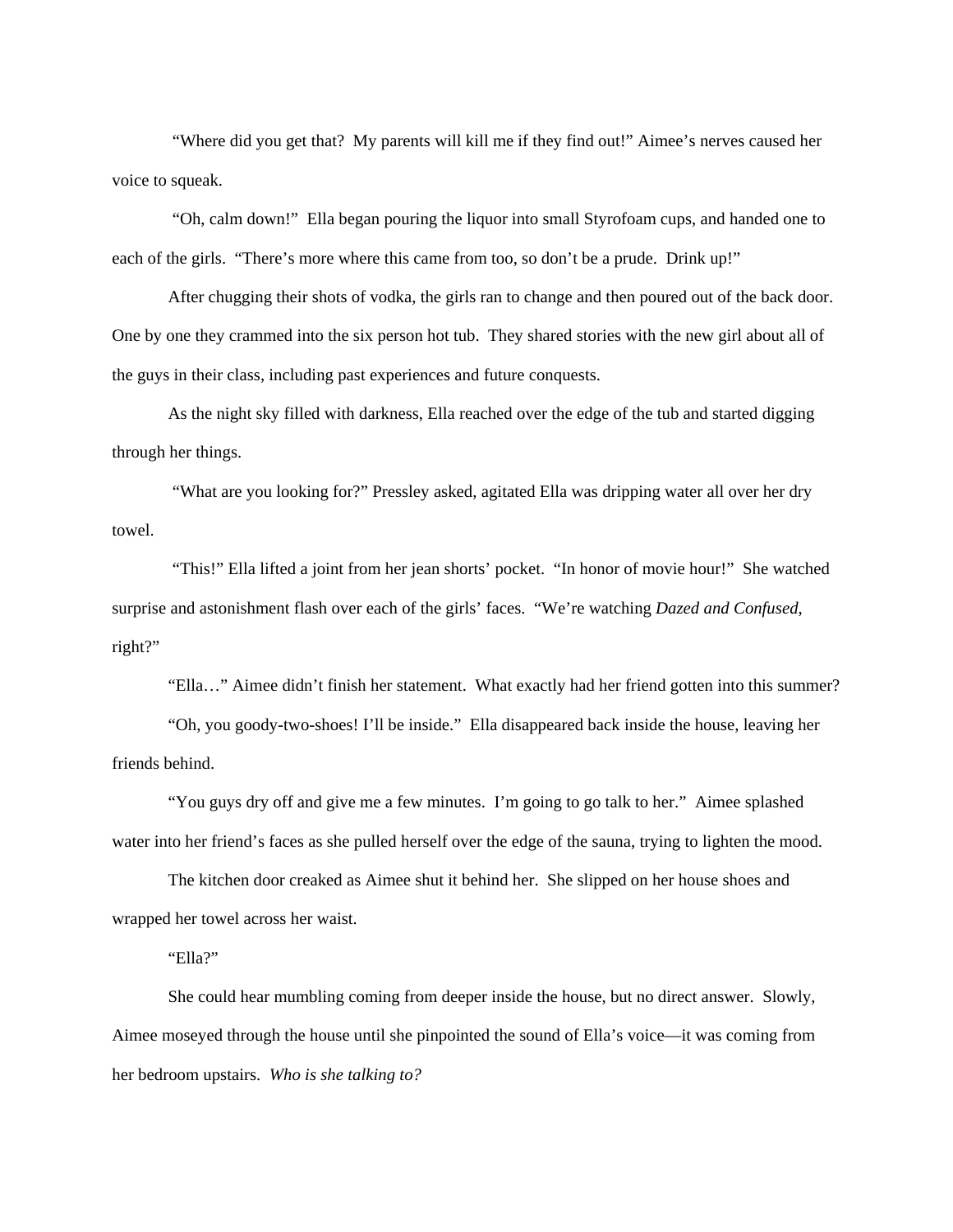"Where did you get that? My parents will kill me if they find out!" Aimee's nerves caused her voice to squeak.

 "Oh, calm down!" Ella began pouring the liquor into small Styrofoam cups, and handed one to each of the girls. "There's more where this came from too, so don't be a prude. Drink up!"

After chugging their shots of vodka, the girls ran to change and then poured out of the back door. One by one they crammed into the six person hot tub. They shared stories with the new girl about all of the guys in their class, including past experiences and future conquests.

As the night sky filled with darkness, Ella reached over the edge of the tub and started digging through her things.

 "What are you looking for?" Pressley asked, agitated Ella was dripping water all over her dry towel.

 "This!" Ella lifted a joint from her jean shorts' pocket. "In honor of movie hour!" She watched surprise and astonishment flash over each of the girls' faces. "We're watching *Dazed and Confused*, right?"

"Ella…" Aimee didn't finish her statement. What exactly had her friend gotten into this summer?

"Oh, you goody-two-shoes! I'll be inside." Ella disappeared back inside the house, leaving her friends behind.

"You guys dry off and give me a few minutes. I'm going to go talk to her." Aimee splashed water into her friend's faces as she pulled herself over the edge of the sauna, trying to lighten the mood.

The kitchen door creaked as Aimee shut it behind her. She slipped on her house shoes and wrapped her towel across her waist.

"Ella?"

She could hear mumbling coming from deeper inside the house, but no direct answer. Slowly, Aimee moseyed through the house until she pinpointed the sound of Ella's voice—it was coming from her bedroom upstairs. *Who is she talking to?*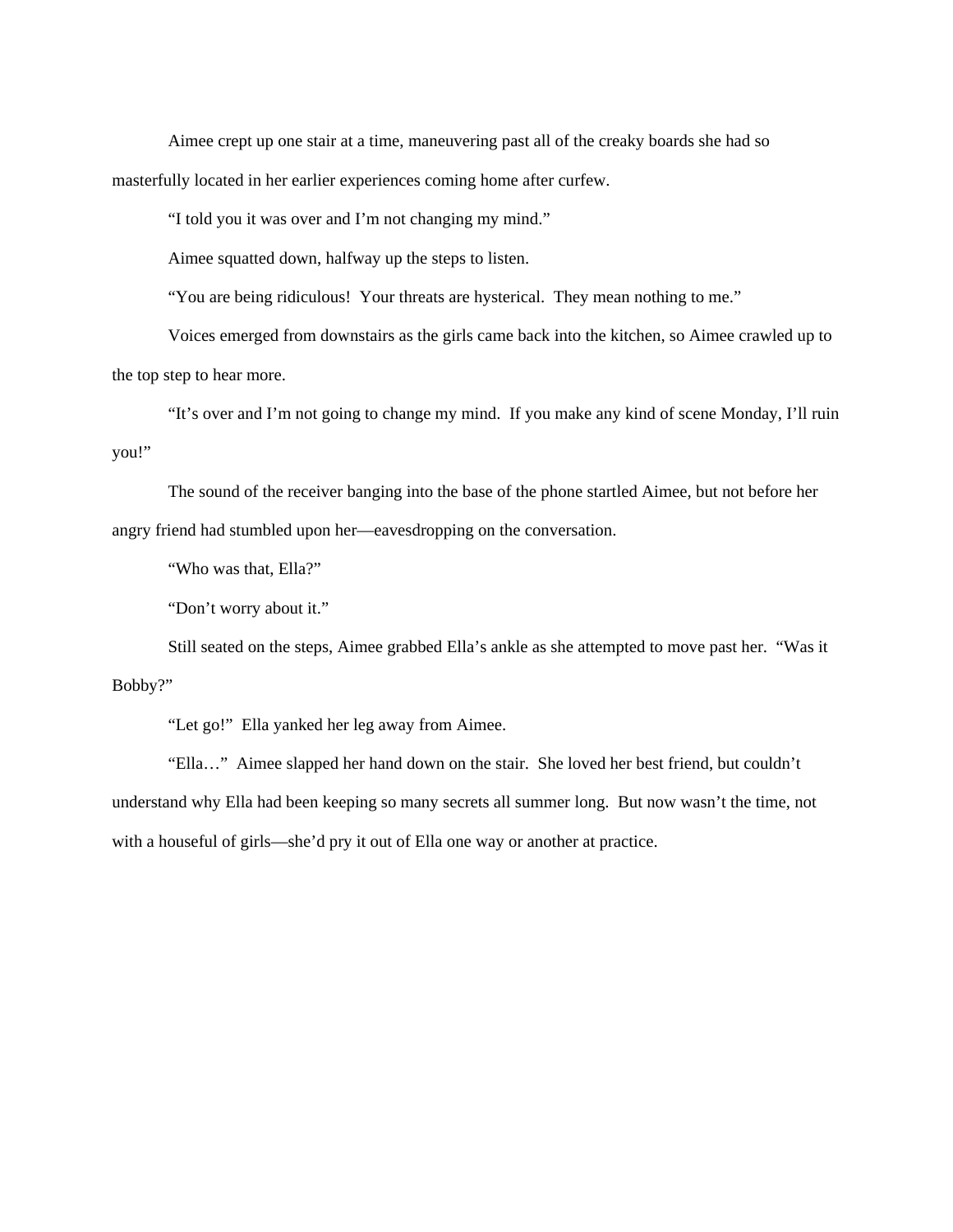Aimee crept up one stair at a time, maneuvering past all of the creaky boards she had so masterfully located in her earlier experiences coming home after curfew.

"I told you it was over and I'm not changing my mind."

Aimee squatted down, halfway up the steps to listen.

"You are being ridiculous! Your threats are hysterical. They mean nothing to me."

Voices emerged from downstairs as the girls came back into the kitchen, so Aimee crawled up to the top step to hear more.

"It's over and I'm not going to change my mind. If you make any kind of scene Monday, I'll ruin you!"

The sound of the receiver banging into the base of the phone startled Aimee, but not before her angry friend had stumbled upon her—eavesdropping on the conversation.

"Who was that, Ella?"

"Don't worry about it."

Still seated on the steps, Aimee grabbed Ella's ankle as she attempted to move past her. "Was it Bobby?"

"Let go!" Ella yanked her leg away from Aimee.

"Ella…" Aimee slapped her hand down on the stair. She loved her best friend, but couldn't understand why Ella had been keeping so many secrets all summer long. But now wasn't the time, not with a houseful of girls—she'd pry it out of Ella one way or another at practice.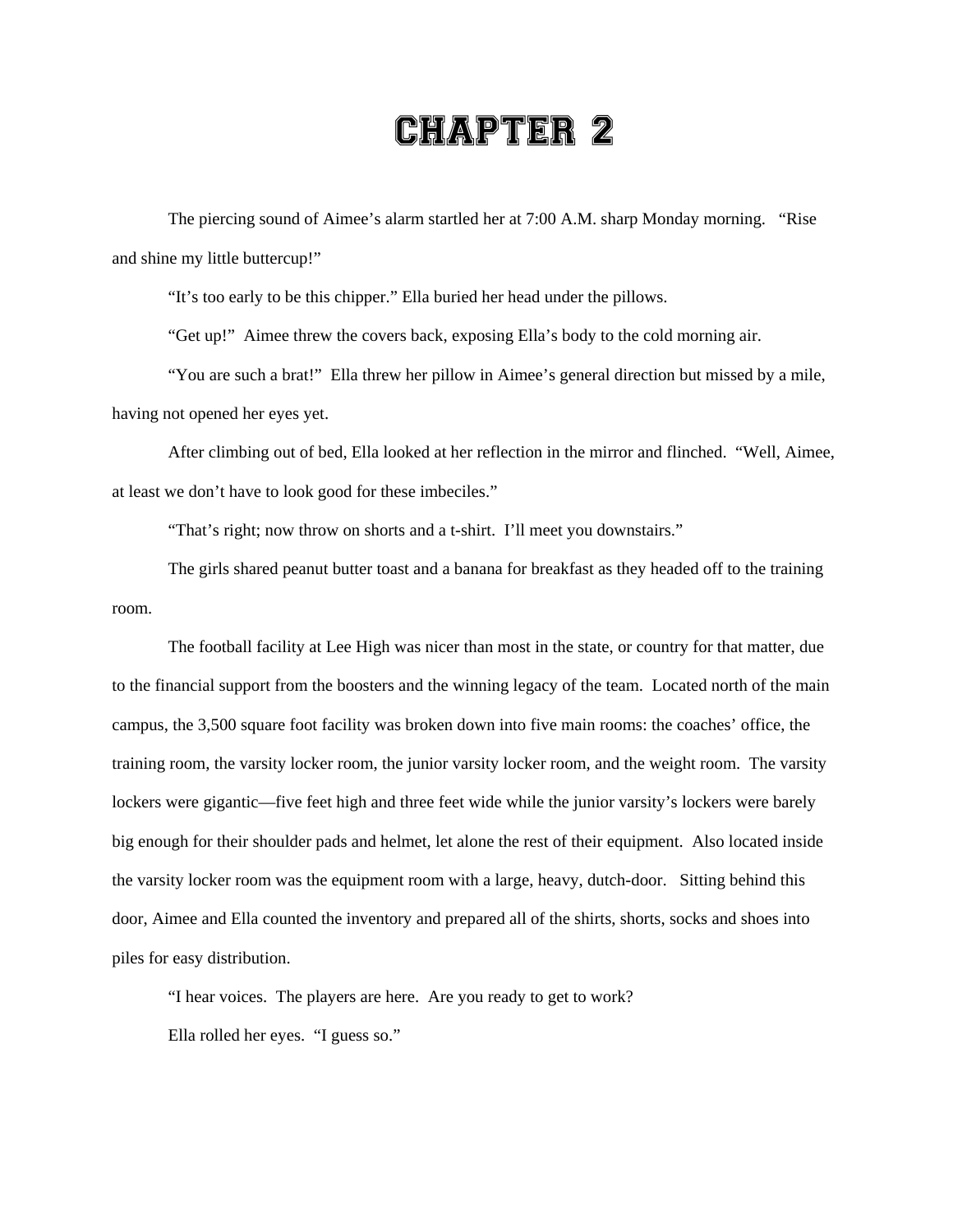## CHAPTER 2

The piercing sound of Aimee's alarm startled her at 7:00 A.M. sharp Monday morning. "Rise and shine my little buttercup!"

"It's too early to be this chipper." Ella buried her head under the pillows.

"Get up!" Aimee threw the covers back, exposing Ella's body to the cold morning air.

"You are such a brat!" Ella threw her pillow in Aimee's general direction but missed by a mile, having not opened her eyes yet.

After climbing out of bed, Ella looked at her reflection in the mirror and flinched. "Well, Aimee, at least we don't have to look good for these imbeciles."

"That's right; now throw on shorts and a t-shirt. I'll meet you downstairs."

The girls shared peanut butter toast and a banana for breakfast as they headed off to the training room.

The football facility at Lee High was nicer than most in the state, or country for that matter, due to the financial support from the boosters and the winning legacy of the team. Located north of the main campus, the 3,500 square foot facility was broken down into five main rooms: the coaches' office, the training room, the varsity locker room, the junior varsity locker room, and the weight room. The varsity lockers were gigantic—five feet high and three feet wide while the junior varsity's lockers were barely big enough for their shoulder pads and helmet, let alone the rest of their equipment. Also located inside the varsity locker room was the equipment room with a large, heavy, dutch-door. Sitting behind this door, Aimee and Ella counted the inventory and prepared all of the shirts, shorts, socks and shoes into piles for easy distribution.

"I hear voices. The players are here. Are you ready to get to work?

Ella rolled her eyes. "I guess so."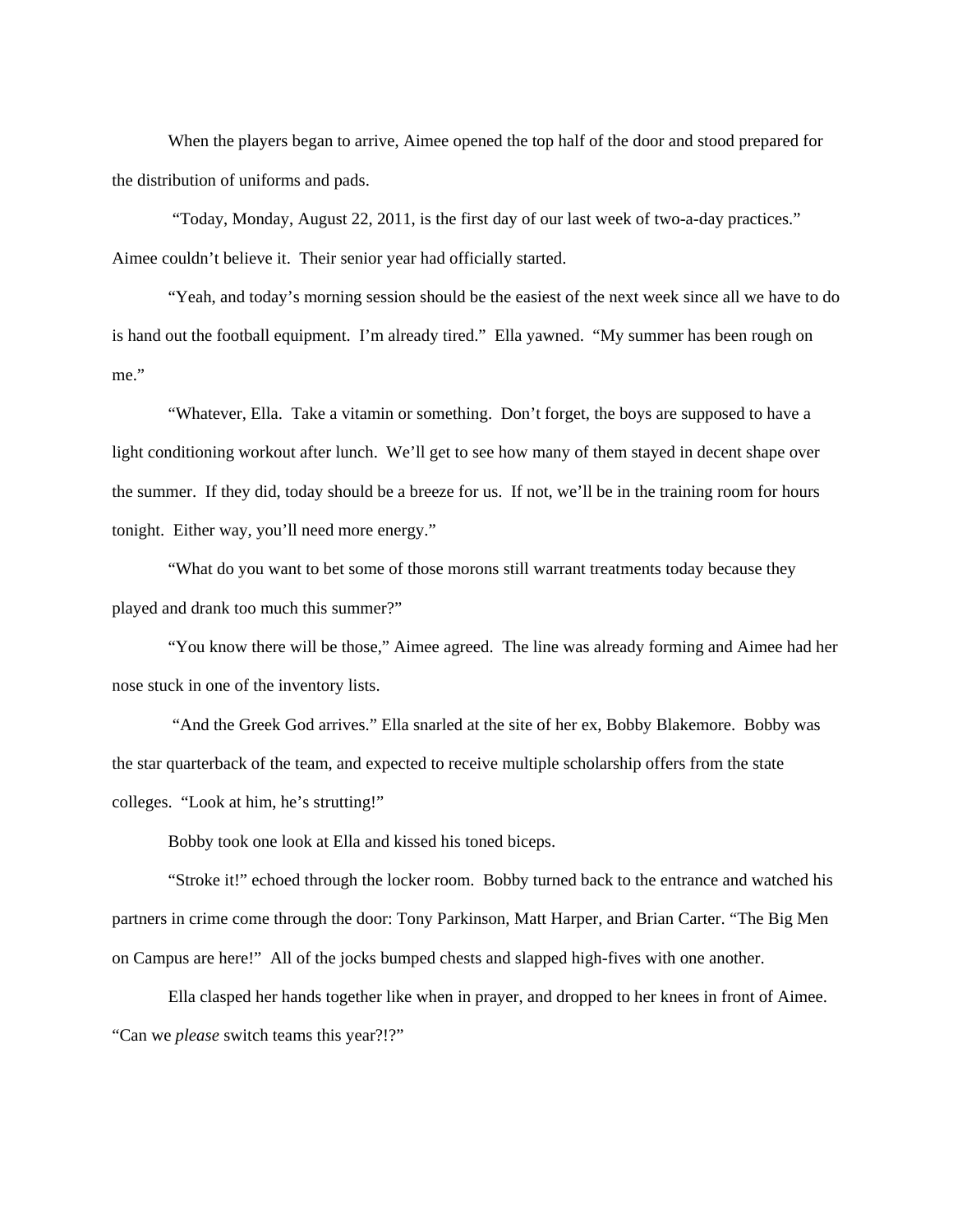When the players began to arrive, Aimee opened the top half of the door and stood prepared for the distribution of uniforms and pads.

 "Today, Monday, August 22, 2011, is the first day of our last week of two-a-day practices." Aimee couldn't believe it. Their senior year had officially started.

"Yeah, and today's morning session should be the easiest of the next week since all we have to do is hand out the football equipment. I'm already tired." Ella yawned. "My summer has been rough on me."

"Whatever, Ella. Take a vitamin or something. Don't forget, the boys are supposed to have a light conditioning workout after lunch. We'll get to see how many of them stayed in decent shape over the summer. If they did, today should be a breeze for us. If not, we'll be in the training room for hours tonight. Either way, you'll need more energy."

"What do you want to bet some of those morons still warrant treatments today because they played and drank too much this summer?"

"You know there will be those," Aimee agreed. The line was already forming and Aimee had her nose stuck in one of the inventory lists.

 "And the Greek God arrives." Ella snarled at the site of her ex, Bobby Blakemore. Bobby was the star quarterback of the team, and expected to receive multiple scholarship offers from the state colleges. "Look at him, he's strutting!"

Bobby took one look at Ella and kissed his toned biceps.

"Stroke it!" echoed through the locker room. Bobby turned back to the entrance and watched his partners in crime come through the door: Tony Parkinson, Matt Harper, and Brian Carter. "The Big Men on Campus are here!" All of the jocks bumped chests and slapped high-fives with one another.

Ella clasped her hands together like when in prayer, and dropped to her knees in front of Aimee. "Can we *please* switch teams this year?!?"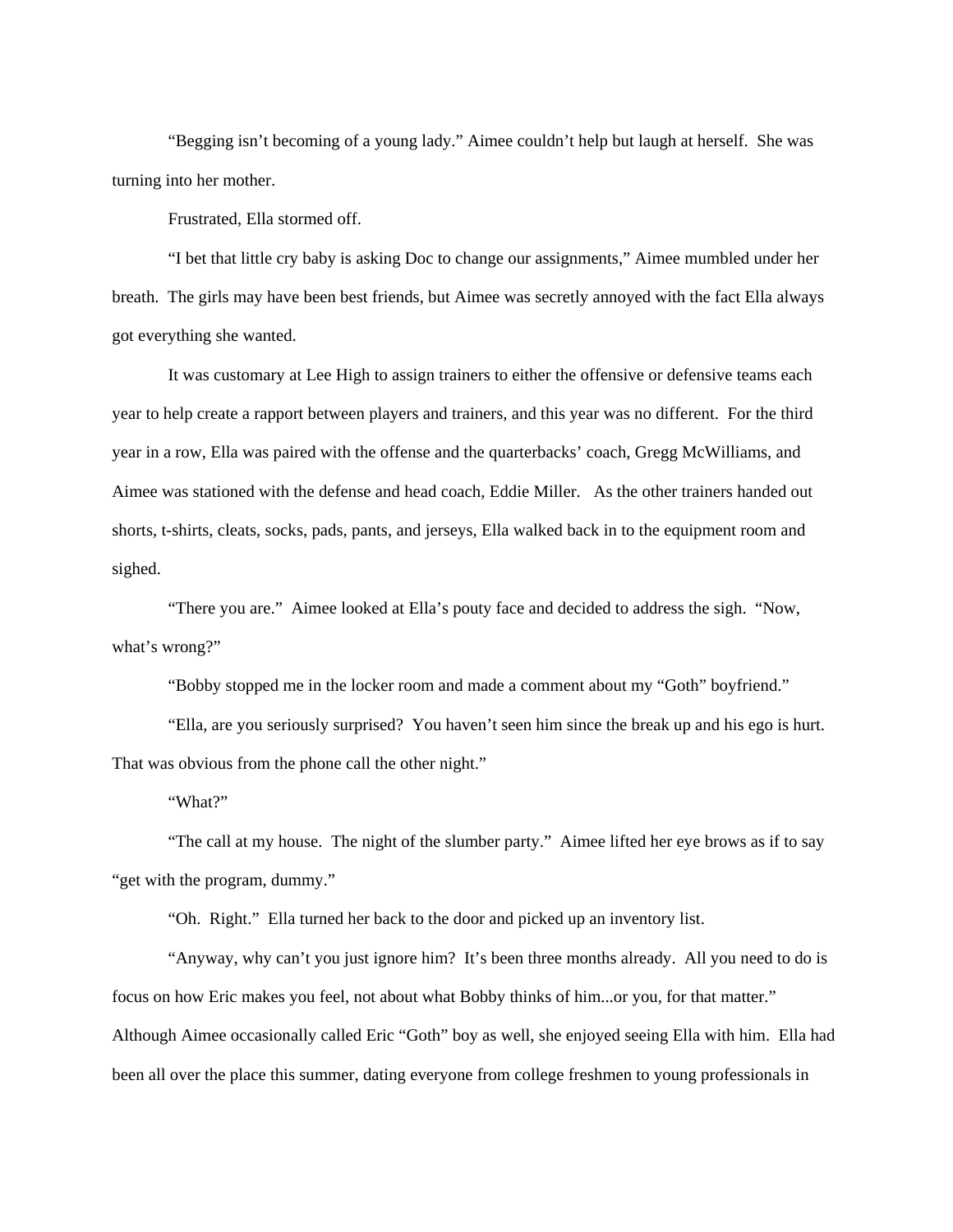"Begging isn't becoming of a young lady." Aimee couldn't help but laugh at herself. She was turning into her mother.

Frustrated, Ella stormed off.

"I bet that little cry baby is asking Doc to change our assignments," Aimee mumbled under her breath. The girls may have been best friends, but Aimee was secretly annoyed with the fact Ella always got everything she wanted.

It was customary at Lee High to assign trainers to either the offensive or defensive teams each year to help create a rapport between players and trainers, and this year was no different. For the third year in a row, Ella was paired with the offense and the quarterbacks' coach, Gregg McWilliams, and Aimee was stationed with the defense and head coach, Eddie Miller. As the other trainers handed out shorts, t-shirts, cleats, socks, pads, pants, and jerseys, Ella walked back in to the equipment room and sighed.

"There you are." Aimee looked at Ella's pouty face and decided to address the sigh. "Now, what's wrong?"

"Bobby stopped me in the locker room and made a comment about my "Goth" boyfriend."

"Ella, are you seriously surprised? You haven't seen him since the break up and his ego is hurt. That was obvious from the phone call the other night."

"What?"

"The call at my house. The night of the slumber party." Aimee lifted her eye brows as if to say "get with the program, dummy."

"Oh. Right." Ella turned her back to the door and picked up an inventory list.

"Anyway, why can't you just ignore him? It's been three months already. All you need to do is focus on how Eric makes you feel, not about what Bobby thinks of him...or you, for that matter." Although Aimee occasionally called Eric "Goth" boy as well, she enjoyed seeing Ella with him. Ella had been all over the place this summer, dating everyone from college freshmen to young professionals in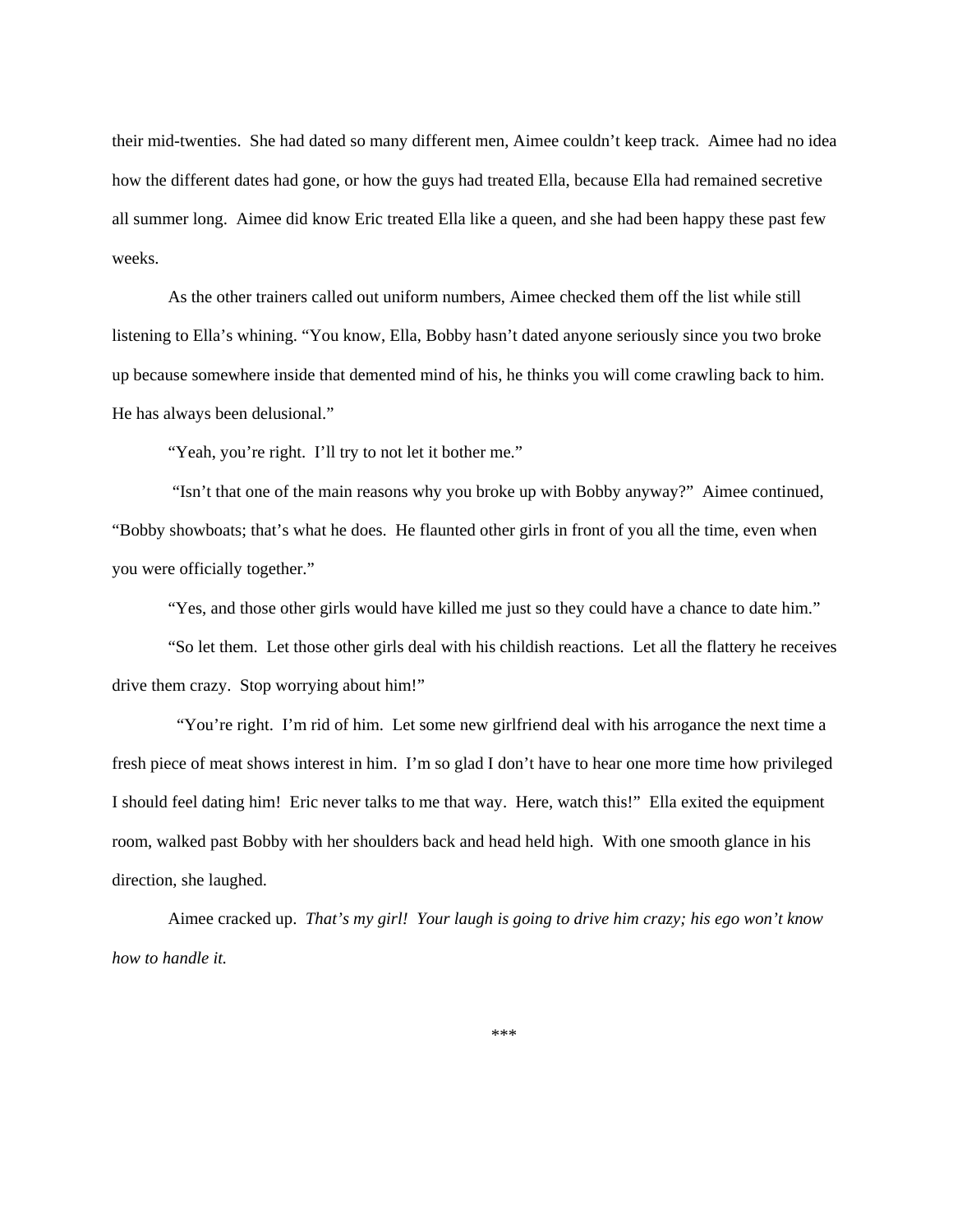their mid-twenties. She had dated so many different men, Aimee couldn't keep track. Aimee had no idea how the different dates had gone, or how the guys had treated Ella, because Ella had remained secretive all summer long. Aimee did know Eric treated Ella like a queen, and she had been happy these past few weeks.

As the other trainers called out uniform numbers, Aimee checked them off the list while still listening to Ella's whining. "You know, Ella, Bobby hasn't dated anyone seriously since you two broke up because somewhere inside that demented mind of his, he thinks you will come crawling back to him. He has always been delusional."

"Yeah, you're right. I'll try to not let it bother me."

 "Isn't that one of the main reasons why you broke up with Bobby anyway?" Aimee continued, "Bobby showboats; that's what he does. He flaunted other girls in front of you all the time, even when you were officially together."

"Yes, and those other girls would have killed me just so they could have a chance to date him."

"So let them. Let those other girls deal with his childish reactions. Let all the flattery he receives drive them crazy. Stop worrying about him!"

 "You're right. I'm rid of him. Let some new girlfriend deal with his arrogance the next time a fresh piece of meat shows interest in him. I'm so glad I don't have to hear one more time how privileged I should feel dating him! Eric never talks to me that way. Here, watch this!" Ella exited the equipment room, walked past Bobby with her shoulders back and head held high. With one smooth glance in his direction, she laughed.

Aimee cracked up. *That's my girl! Your laugh is going to drive him crazy; his ego won't know how to handle it.*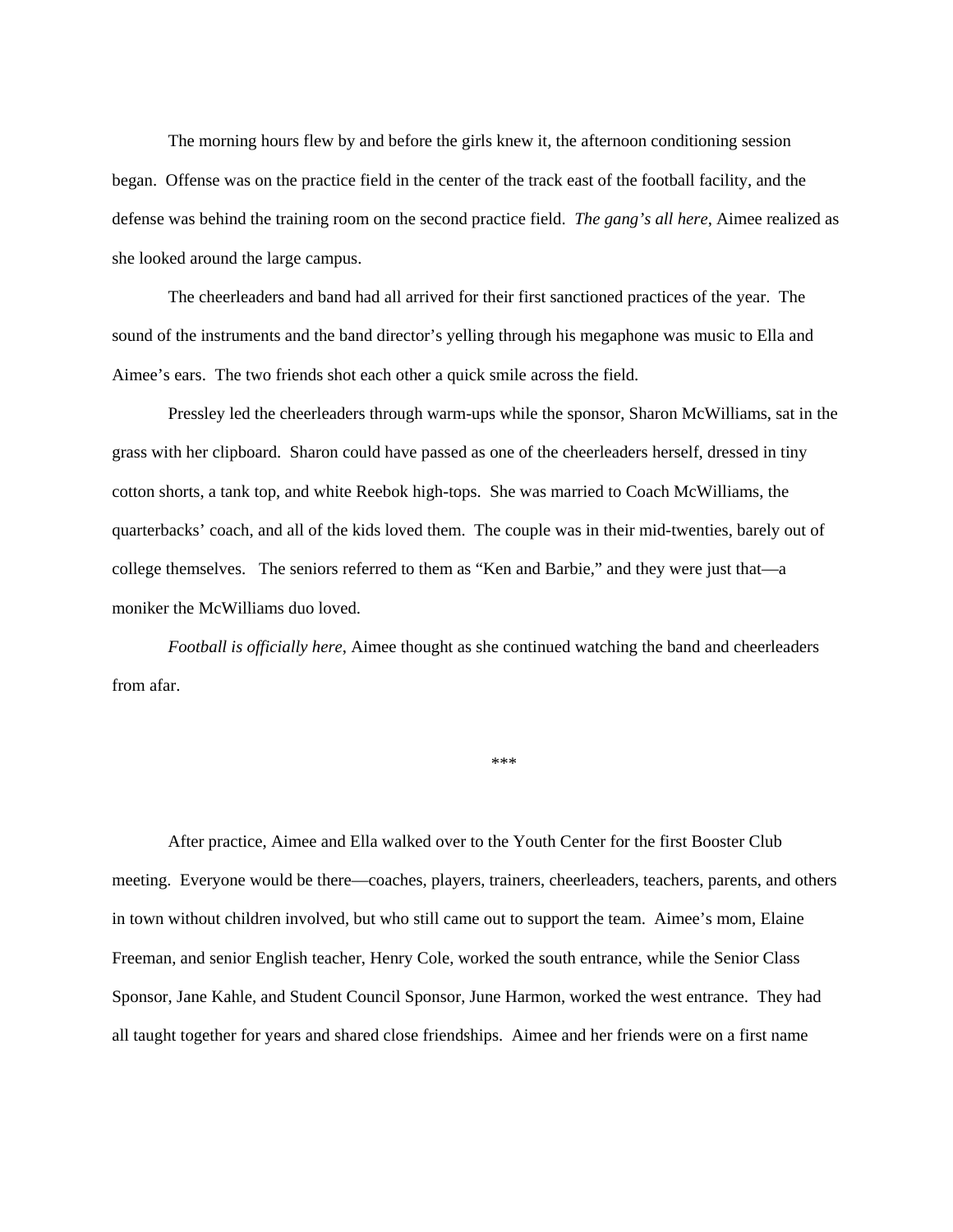The morning hours flew by and before the girls knew it, the afternoon conditioning session began. Offense was on the practice field in the center of the track east of the football facility, and the defense was behind the training room on the second practice field. *The gang's all here*, Aimee realized as she looked around the large campus.

The cheerleaders and band had all arrived for their first sanctioned practices of the year. The sound of the instruments and the band director's yelling through his megaphone was music to Ella and Aimee's ears. The two friends shot each other a quick smile across the field.

Pressley led the cheerleaders through warm-ups while the sponsor, Sharon McWilliams, sat in the grass with her clipboard. Sharon could have passed as one of the cheerleaders herself, dressed in tiny cotton shorts, a tank top, and white Reebok high-tops. She was married to Coach McWilliams, the quarterbacks' coach, and all of the kids loved them. The couple was in their mid-twenties, barely out of college themselves. The seniors referred to them as "Ken and Barbie," and they were just that—a moniker the McWilliams duo loved.

*Football is officially here*, Aimee thought as she continued watching the band and cheerleaders from afar.

\*\*\*

After practice, Aimee and Ella walked over to the Youth Center for the first Booster Club meeting. Everyone would be there—coaches, players, trainers, cheerleaders, teachers, parents, and others in town without children involved, but who still came out to support the team. Aimee's mom, Elaine Freeman, and senior English teacher, Henry Cole, worked the south entrance, while the Senior Class Sponsor, Jane Kahle, and Student Council Sponsor, June Harmon, worked the west entrance. They had all taught together for years and shared close friendships. Aimee and her friends were on a first name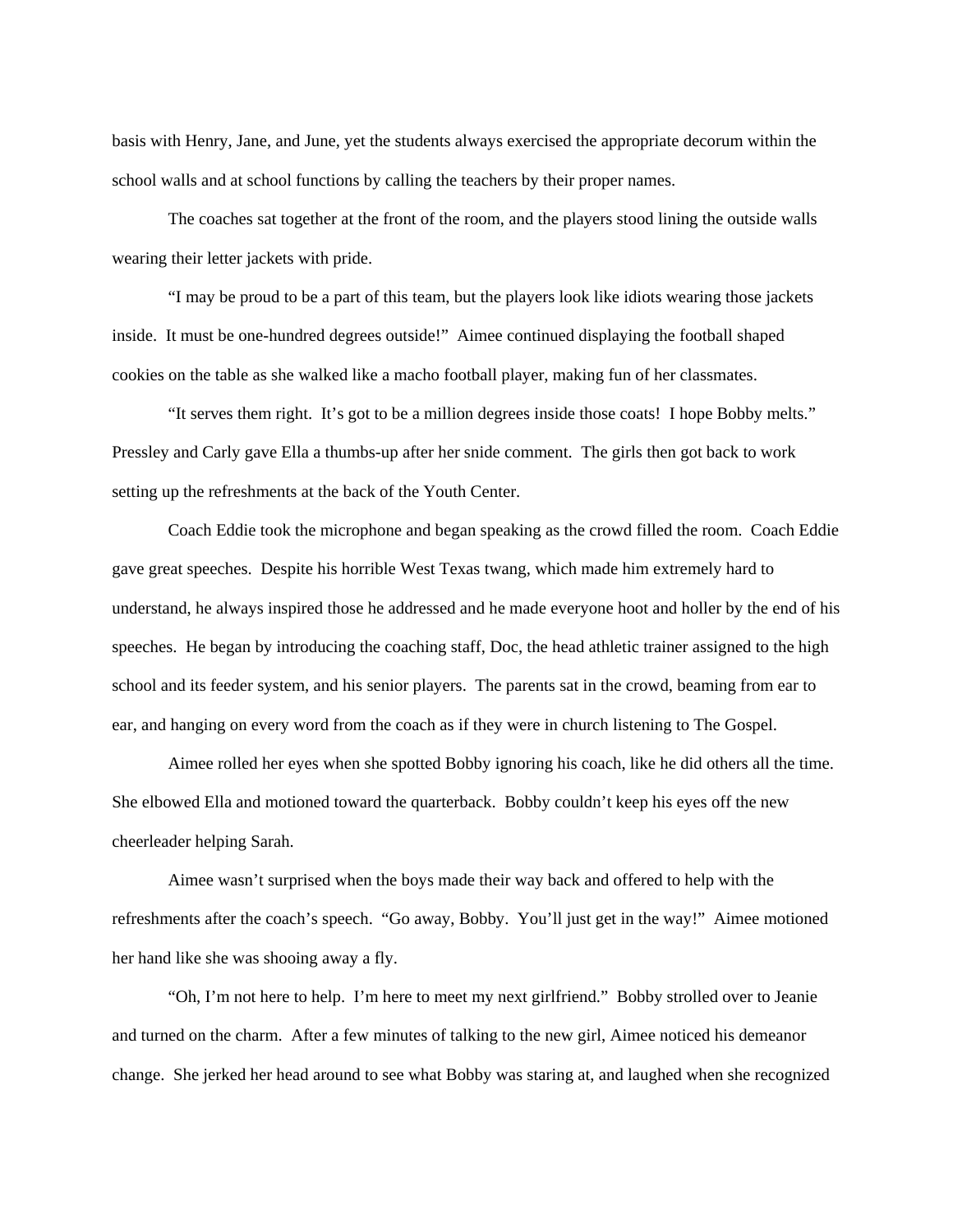basis with Henry, Jane, and June, yet the students always exercised the appropriate decorum within the school walls and at school functions by calling the teachers by their proper names.

The coaches sat together at the front of the room, and the players stood lining the outside walls wearing their letter jackets with pride.

"I may be proud to be a part of this team, but the players look like idiots wearing those jackets inside. It must be one-hundred degrees outside!" Aimee continued displaying the football shaped cookies on the table as she walked like a macho football player, making fun of her classmates.

"It serves them right. It's got to be a million degrees inside those coats! I hope Bobby melts." Pressley and Carly gave Ella a thumbs-up after her snide comment. The girls then got back to work setting up the refreshments at the back of the Youth Center.

Coach Eddie took the microphone and began speaking as the crowd filled the room. Coach Eddie gave great speeches. Despite his horrible West Texas twang, which made him extremely hard to understand, he always inspired those he addressed and he made everyone hoot and holler by the end of his speeches. He began by introducing the coaching staff, Doc, the head athletic trainer assigned to the high school and its feeder system, and his senior players. The parents sat in the crowd, beaming from ear to ear, and hanging on every word from the coach as if they were in church listening to The Gospel.

Aimee rolled her eyes when she spotted Bobby ignoring his coach, like he did others all the time. She elbowed Ella and motioned toward the quarterback. Bobby couldn't keep his eyes off the new cheerleader helping Sarah.

Aimee wasn't surprised when the boys made their way back and offered to help with the refreshments after the coach's speech. "Go away, Bobby. You'll just get in the way!" Aimee motioned her hand like she was shooing away a fly.

"Oh, I'm not here to help. I'm here to meet my next girlfriend." Bobby strolled over to Jeanie and turned on the charm. After a few minutes of talking to the new girl, Aimee noticed his demeanor change. She jerked her head around to see what Bobby was staring at, and laughed when she recognized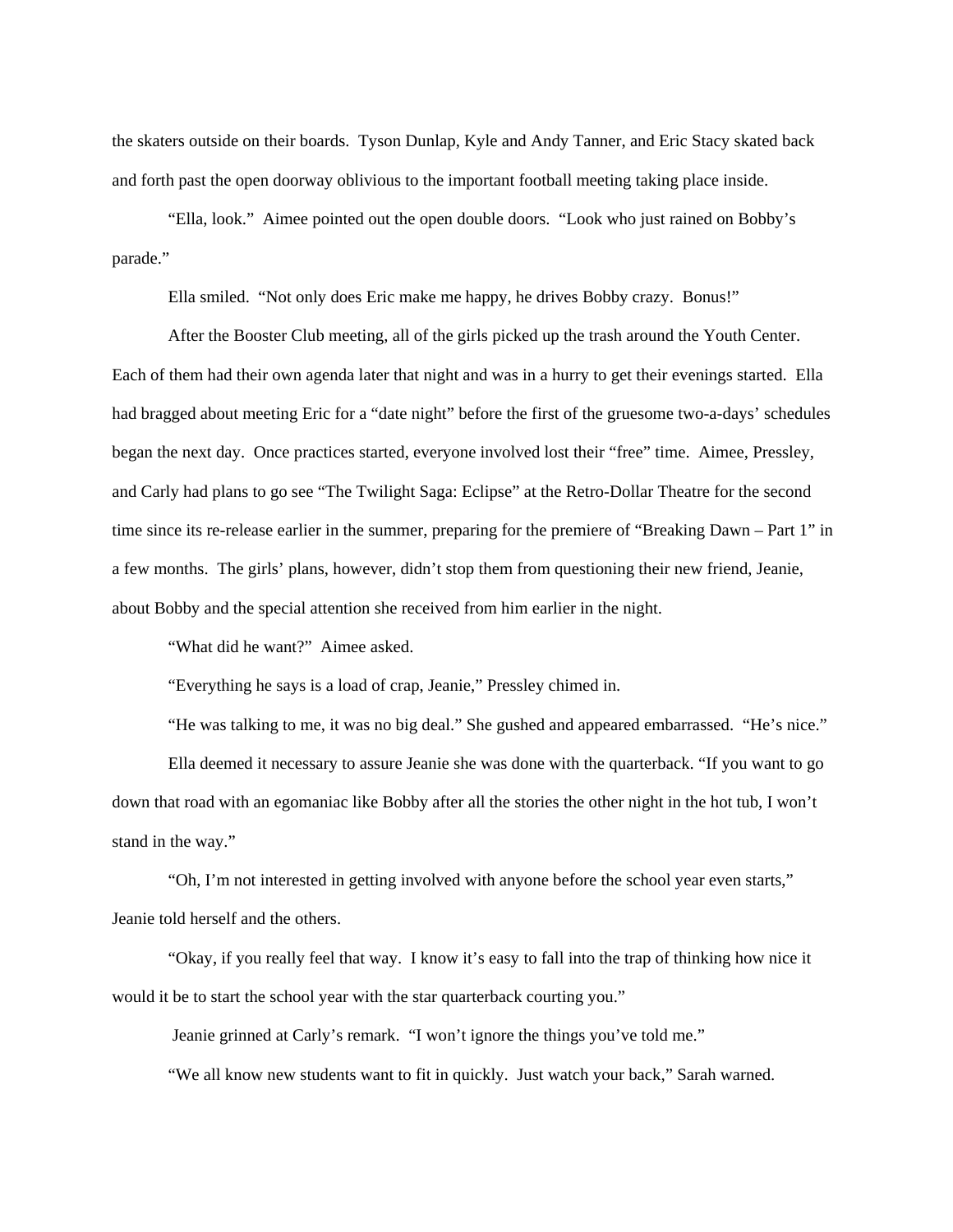the skaters outside on their boards. Tyson Dunlap, Kyle and Andy Tanner, and Eric Stacy skated back and forth past the open doorway oblivious to the important football meeting taking place inside.

"Ella, look." Aimee pointed out the open double doors. "Look who just rained on Bobby's parade."

Ella smiled. "Not only does Eric make me happy, he drives Bobby crazy. Bonus!"

After the Booster Club meeting, all of the girls picked up the trash around the Youth Center. Each of them had their own agenda later that night and was in a hurry to get their evenings started. Ella had bragged about meeting Eric for a "date night" before the first of the gruesome two-a-days' schedules began the next day. Once practices started, everyone involved lost their "free" time. Aimee, Pressley, and Carly had plans to go see "The Twilight Saga: Eclipse" at the Retro-Dollar Theatre for the second time since its re-release earlier in the summer, preparing for the premiere of "Breaking Dawn – Part 1" in a few months. The girls' plans, however, didn't stop them from questioning their new friend, Jeanie, about Bobby and the special attention she received from him earlier in the night.

"What did he want?" Aimee asked.

"Everything he says is a load of crap, Jeanie," Pressley chimed in.

"He was talking to me, it was no big deal." She gushed and appeared embarrassed. "He's nice." Ella deemed it necessary to assure Jeanie she was done with the quarterback. "If you want to go down that road with an egomaniac like Bobby after all the stories the other night in the hot tub, I won't stand in the way."

"Oh, I'm not interested in getting involved with anyone before the school year even starts," Jeanie told herself and the others.

"Okay, if you really feel that way. I know it's easy to fall into the trap of thinking how nice it would it be to start the school year with the star quarterback courting you."

Jeanie grinned at Carly's remark. "I won't ignore the things you've told me."

"We all know new students want to fit in quickly. Just watch your back," Sarah warned.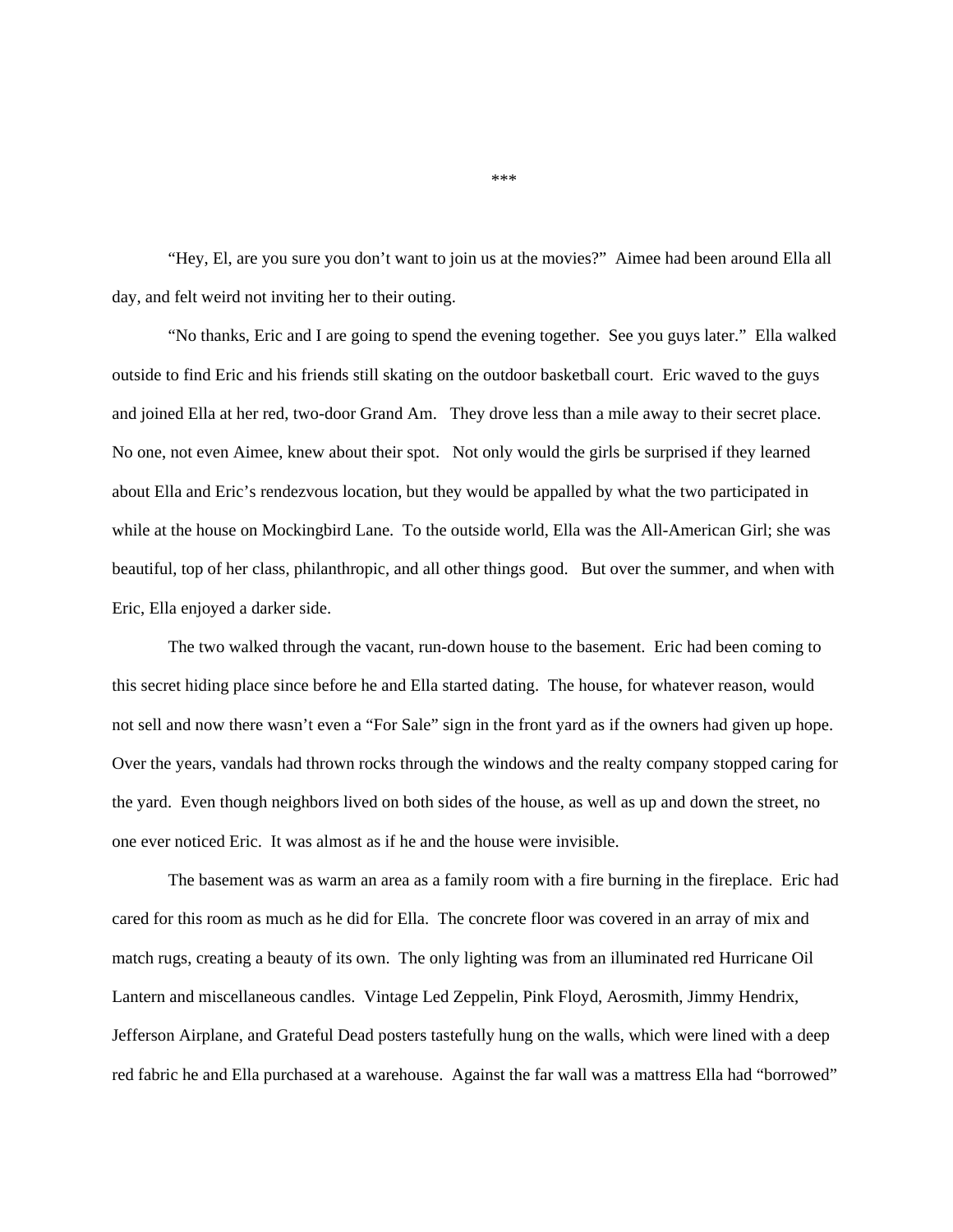"Hey, El, are you sure you don't want to join us at the movies?" Aimee had been around Ella all day, and felt weird not inviting her to their outing.

"No thanks, Eric and I are going to spend the evening together. See you guys later." Ella walked outside to find Eric and his friends still skating on the outdoor basketball court. Eric waved to the guys and joined Ella at her red, two-door Grand Am. They drove less than a mile away to their secret place. No one, not even Aimee, knew about their spot. Not only would the girls be surprised if they learned about Ella and Eric's rendezvous location, but they would be appalled by what the two participated in while at the house on Mockingbird Lane. To the outside world, Ella was the All-American Girl; she was beautiful, top of her class, philanthropic, and all other things good. But over the summer, and when with Eric, Ella enjoyed a darker side.

The two walked through the vacant, run-down house to the basement. Eric had been coming to this secret hiding place since before he and Ella started dating. The house, for whatever reason, would not sell and now there wasn't even a "For Sale" sign in the front yard as if the owners had given up hope. Over the years, vandals had thrown rocks through the windows and the realty company stopped caring for the yard. Even though neighbors lived on both sides of the house, as well as up and down the street, no one ever noticed Eric. It was almost as if he and the house were invisible.

The basement was as warm an area as a family room with a fire burning in the fireplace. Eric had cared for this room as much as he did for Ella. The concrete floor was covered in an array of mix and match rugs, creating a beauty of its own. The only lighting was from an illuminated red Hurricane Oil Lantern and miscellaneous candles. Vintage Led Zeppelin, Pink Floyd, Aerosmith, Jimmy Hendrix, Jefferson Airplane, and Grateful Dead posters tastefully hung on the walls, which were lined with a deep red fabric he and Ella purchased at a warehouse. Against the far wall was a mattress Ella had "borrowed"

\*\*\*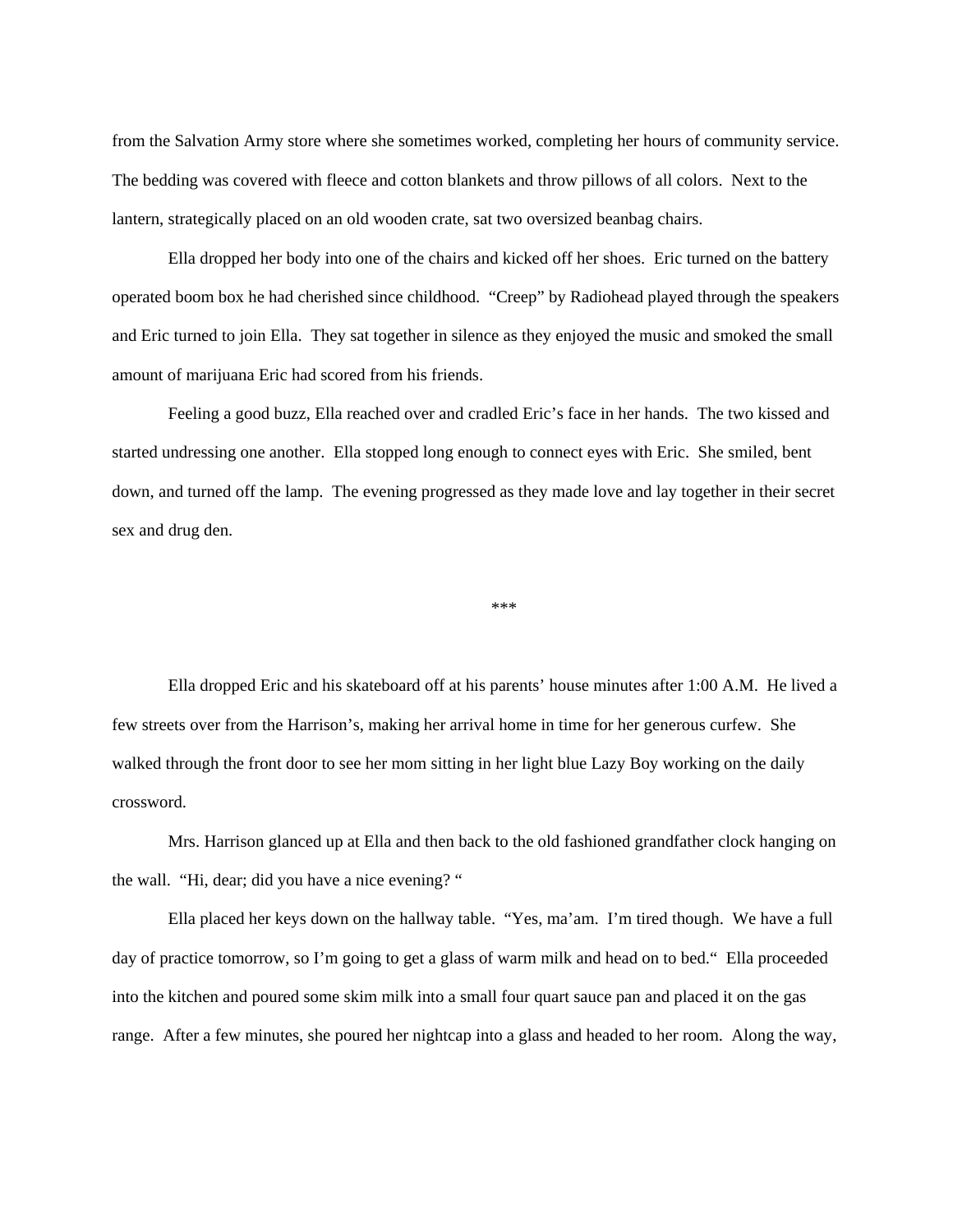from the Salvation Army store where she sometimes worked, completing her hours of community service. The bedding was covered with fleece and cotton blankets and throw pillows of all colors. Next to the lantern, strategically placed on an old wooden crate, sat two oversized beanbag chairs.

Ella dropped her body into one of the chairs and kicked off her shoes. Eric turned on the battery operated boom box he had cherished since childhood. "Creep" by Radiohead played through the speakers and Eric turned to join Ella. They sat together in silence as they enjoyed the music and smoked the small amount of marijuana Eric had scored from his friends.

Feeling a good buzz, Ella reached over and cradled Eric's face in her hands. The two kissed and started undressing one another. Ella stopped long enough to connect eyes with Eric. She smiled, bent down, and turned off the lamp. The evening progressed as they made love and lay together in their secret sex and drug den.

\*\*\*

Ella dropped Eric and his skateboard off at his parents' house minutes after 1:00 A.M. He lived a few streets over from the Harrison's, making her arrival home in time for her generous curfew. She walked through the front door to see her mom sitting in her light blue Lazy Boy working on the daily crossword.

Mrs. Harrison glanced up at Ella and then back to the old fashioned grandfather clock hanging on the wall. "Hi, dear; did you have a nice evening? "

Ella placed her keys down on the hallway table. "Yes, ma'am. I'm tired though. We have a full day of practice tomorrow, so I'm going to get a glass of warm milk and head on to bed." Ella proceeded into the kitchen and poured some skim milk into a small four quart sauce pan and placed it on the gas range. After a few minutes, she poured her nightcap into a glass and headed to her room. Along the way,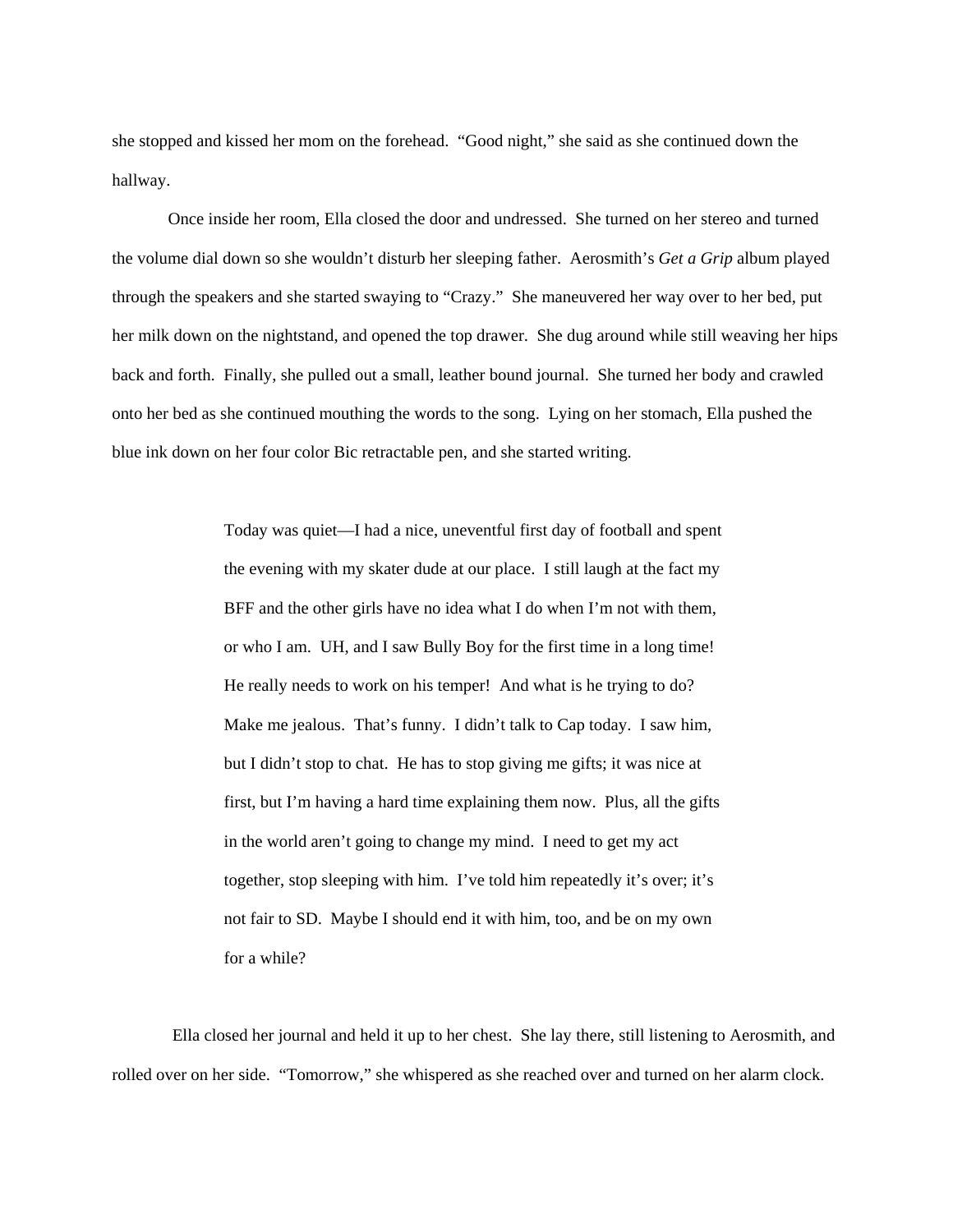she stopped and kissed her mom on the forehead. "Good night," she said as she continued down the hallway.

Once inside her room, Ella closed the door and undressed. She turned on her stereo and turned the volume dial down so she wouldn't disturb her sleeping father. Aerosmith's *Get a Grip* album played through the speakers and she started swaying to "Crazy." She maneuvered her way over to her bed, put her milk down on the nightstand, and opened the top drawer. She dug around while still weaving her hips back and forth. Finally, she pulled out a small, leather bound journal. She turned her body and crawled onto her bed as she continued mouthing the words to the song. Lying on her stomach, Ella pushed the blue ink down on her four color Bic retractable pen, and she started writing.

> Today was quiet—I had a nice, uneventful first day of football and spent the evening with my skater dude at our place. I still laugh at the fact my BFF and the other girls have no idea what I do when I'm not with them, or who I am. UH, and I saw Bully Boy for the first time in a long time! He really needs to work on his temper! And what is he trying to do? Make me jealous. That's funny. I didn't talk to Cap today. I saw him, but I didn't stop to chat. He has to stop giving me gifts; it was nice at first, but I'm having a hard time explaining them now. Plus, all the gifts in the world aren't going to change my mind. I need to get my act together, stop sleeping with him. I've told him repeatedly it's over; it's not fair to SD. Maybe I should end it with him, too, and be on my own for a while?

 Ella closed her journal and held it up to her chest. She lay there, still listening to Aerosmith, and rolled over on her side. "Tomorrow," she whispered as she reached over and turned on her alarm clock.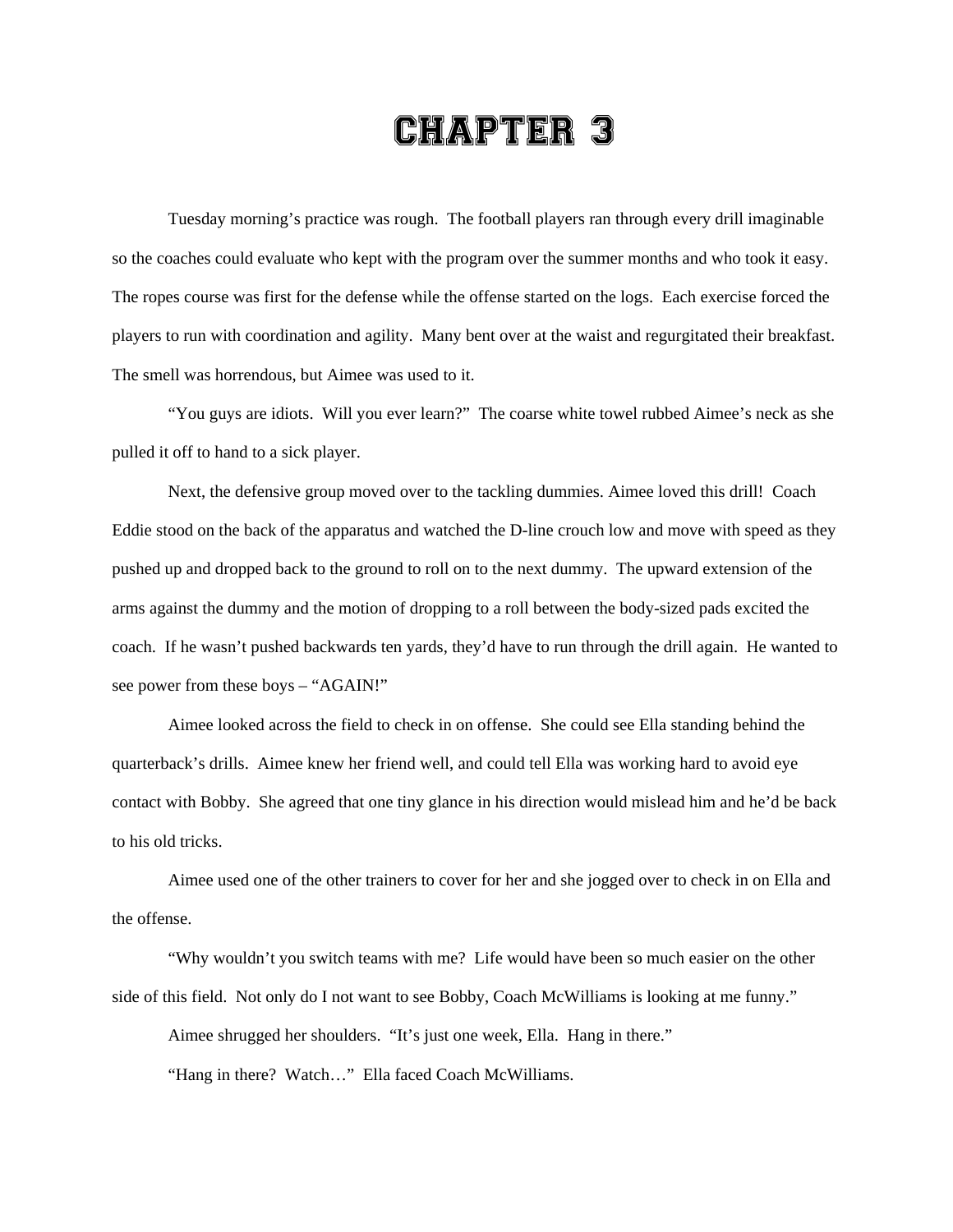## CHAPTER 3

Tuesday morning's practice was rough. The football players ran through every drill imaginable so the coaches could evaluate who kept with the program over the summer months and who took it easy. The ropes course was first for the defense while the offense started on the logs. Each exercise forced the players to run with coordination and agility. Many bent over at the waist and regurgitated their breakfast. The smell was horrendous, but Aimee was used to it.

"You guys are idiots. Will you ever learn?" The coarse white towel rubbed Aimee's neck as she pulled it off to hand to a sick player.

Next, the defensive group moved over to the tackling dummies. Aimee loved this drill! Coach Eddie stood on the back of the apparatus and watched the D-line crouch low and move with speed as they pushed up and dropped back to the ground to roll on to the next dummy. The upward extension of the arms against the dummy and the motion of dropping to a roll between the body-sized pads excited the coach. If he wasn't pushed backwards ten yards, they'd have to run through the drill again. He wanted to see power from these boys – "AGAIN!"

Aimee looked across the field to check in on offense. She could see Ella standing behind the quarterback's drills. Aimee knew her friend well, and could tell Ella was working hard to avoid eye contact with Bobby. She agreed that one tiny glance in his direction would mislead him and he'd be back to his old tricks.

Aimee used one of the other trainers to cover for her and she jogged over to check in on Ella and the offense.

"Why wouldn't you switch teams with me? Life would have been so much easier on the other side of this field. Not only do I not want to see Bobby, Coach McWilliams is looking at me funny."

Aimee shrugged her shoulders. "It's just one week, Ella. Hang in there."

"Hang in there? Watch…" Ella faced Coach McWilliams.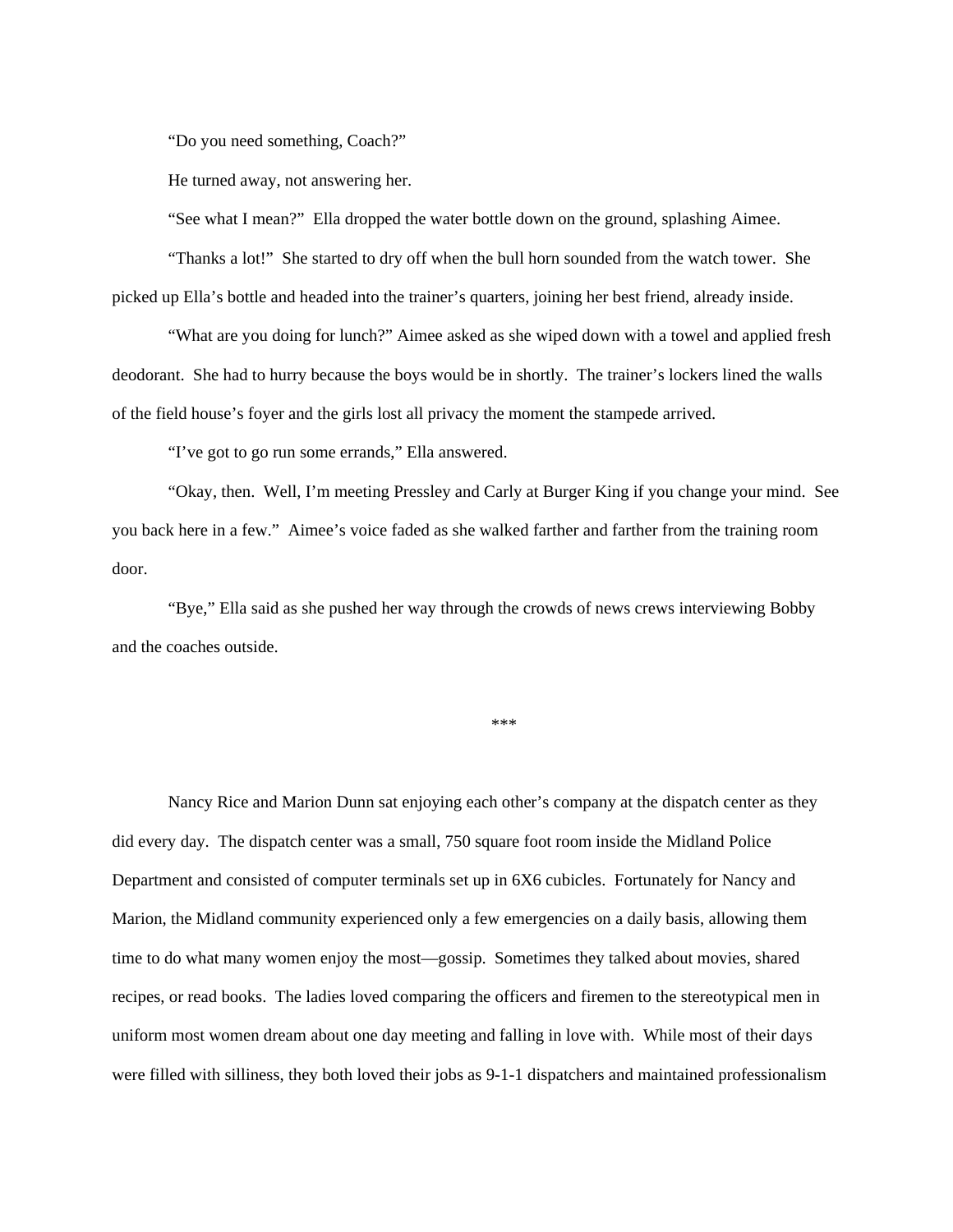"Do you need something, Coach?"

He turned away, not answering her.

"See what I mean?" Ella dropped the water bottle down on the ground, splashing Aimee.

"Thanks a lot!" She started to dry off when the bull horn sounded from the watch tower. She picked up Ella's bottle and headed into the trainer's quarters, joining her best friend, already inside.

"What are you doing for lunch?" Aimee asked as she wiped down with a towel and applied fresh deodorant. She had to hurry because the boys would be in shortly. The trainer's lockers lined the walls of the field house's foyer and the girls lost all privacy the moment the stampede arrived.

"I've got to go run some errands," Ella answered.

"Okay, then. Well, I'm meeting Pressley and Carly at Burger King if you change your mind. See you back here in a few." Aimee's voice faded as she walked farther and farther from the training room door.

"Bye," Ella said as she pushed her way through the crowds of news crews interviewing Bobby and the coaches outside.

\*\*\*

Nancy Rice and Marion Dunn sat enjoying each other's company at the dispatch center as they did every day. The dispatch center was a small, 750 square foot room inside the Midland Police Department and consisted of computer terminals set up in 6X6 cubicles. Fortunately for Nancy and Marion, the Midland community experienced only a few emergencies on a daily basis, allowing them time to do what many women enjoy the most—gossip. Sometimes they talked about movies, shared recipes, or read books. The ladies loved comparing the officers and firemen to the stereotypical men in uniform most women dream about one day meeting and falling in love with. While most of their days were filled with silliness, they both loved their jobs as 9-1-1 dispatchers and maintained professionalism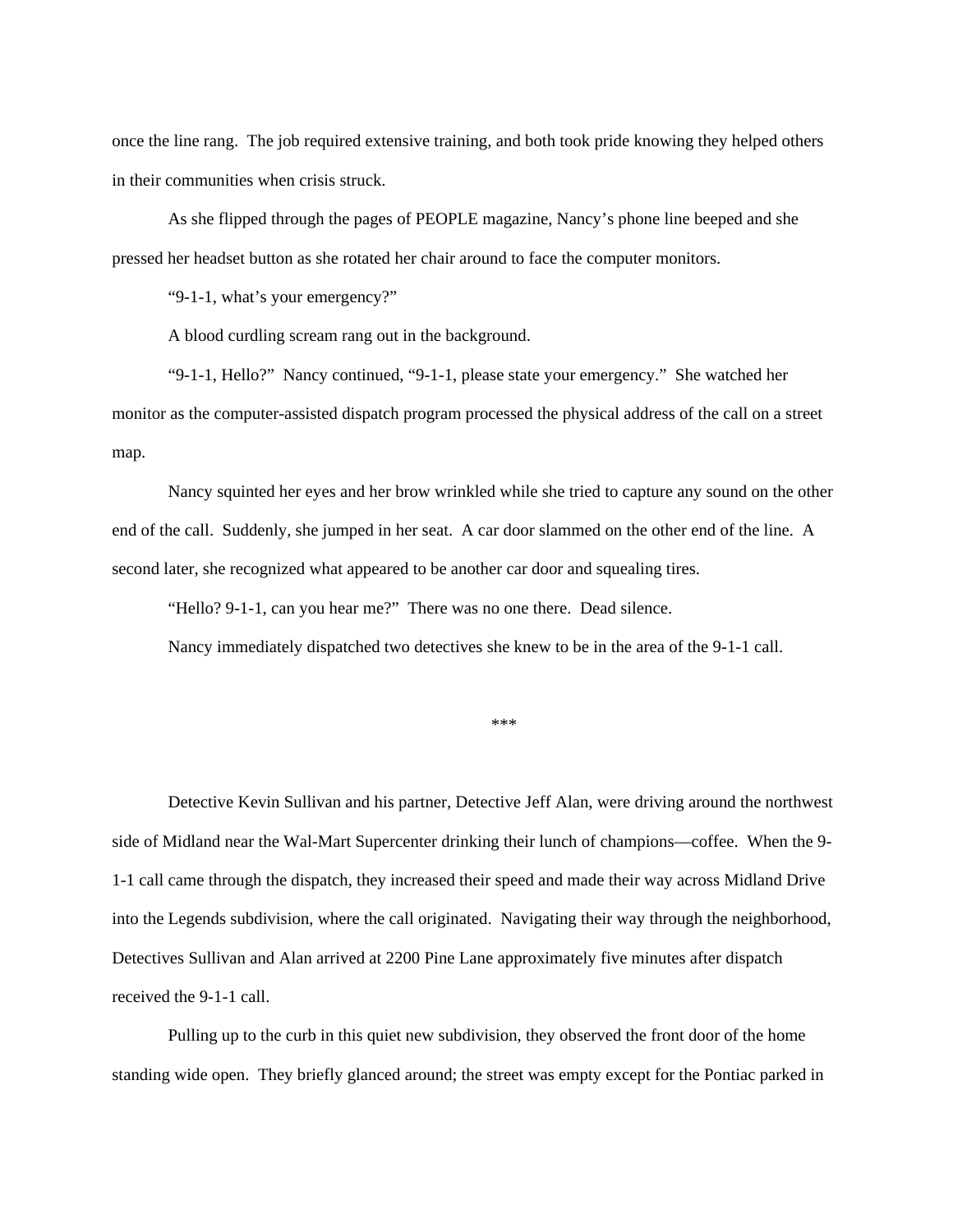once the line rang. The job required extensive training, and both took pride knowing they helped others in their communities when crisis struck.

As she flipped through the pages of PEOPLE magazine, Nancy's phone line beeped and she pressed her headset button as she rotated her chair around to face the computer monitors.

"9-1-1, what's your emergency?"

A blood curdling scream rang out in the background.

"9-1-1, Hello?" Nancy continued, "9-1-1, please state your emergency." She watched her monitor as the computer-assisted dispatch program processed the physical address of the call on a street map.

Nancy squinted her eyes and her brow wrinkled while she tried to capture any sound on the other end of the call. Suddenly, she jumped in her seat. A car door slammed on the other end of the line. A second later, she recognized what appeared to be another car door and squealing tires.

"Hello? 9-1-1, can you hear me?" There was no one there. Dead silence.

Nancy immediately dispatched two detectives she knew to be in the area of the 9-1-1 call.

\*\*\*

Detective Kevin Sullivan and his partner, Detective Jeff Alan, were driving around the northwest side of Midland near the Wal-Mart Supercenter drinking their lunch of champions—coffee. When the 9- 1-1 call came through the dispatch, they increased their speed and made their way across Midland Drive into the Legends subdivision, where the call originated. Navigating their way through the neighborhood, Detectives Sullivan and Alan arrived at 2200 Pine Lane approximately five minutes after dispatch received the 9-1-1 call.

Pulling up to the curb in this quiet new subdivision, they observed the front door of the home standing wide open. They briefly glanced around; the street was empty except for the Pontiac parked in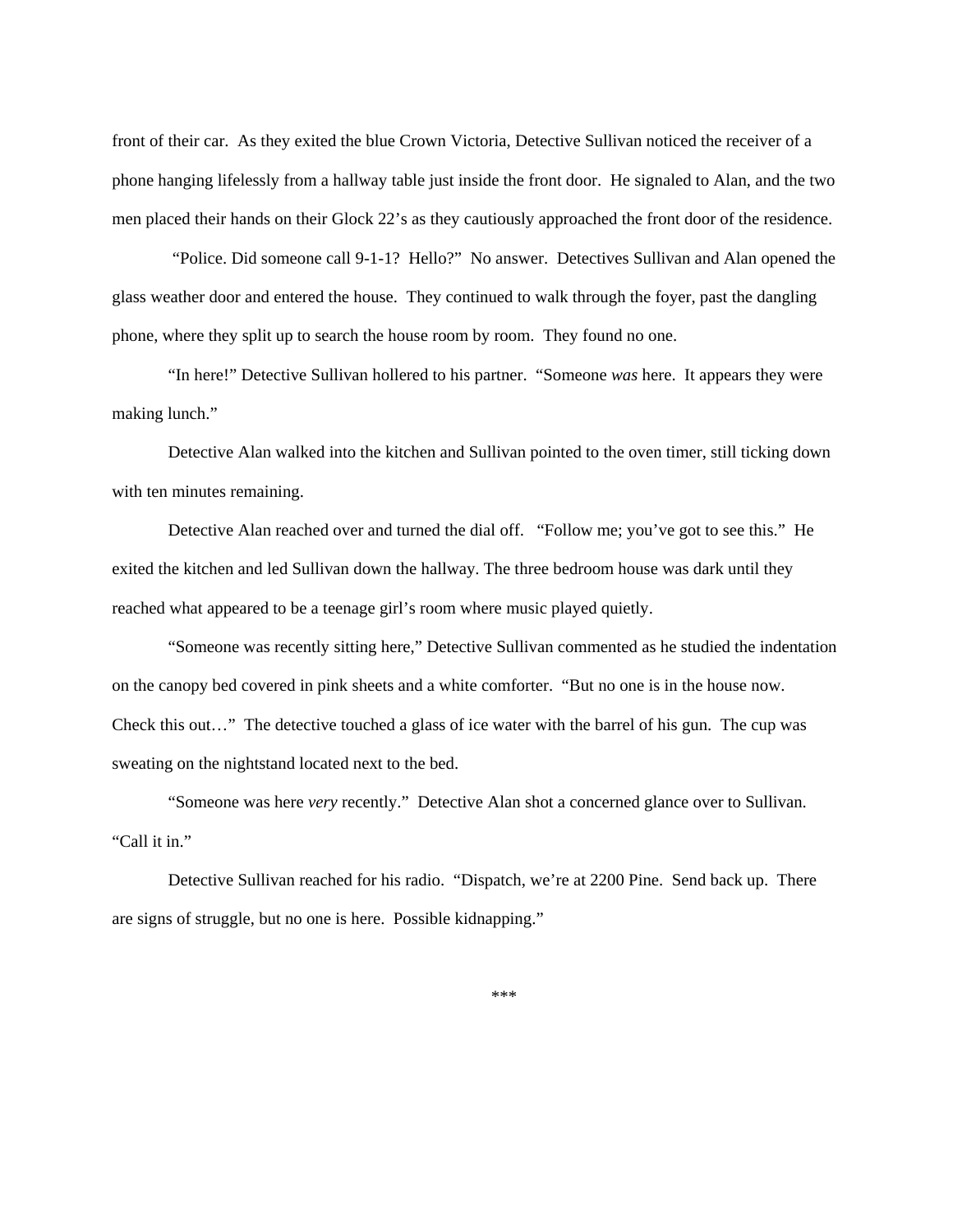front of their car. As they exited the blue Crown Victoria, Detective Sullivan noticed the receiver of a phone hanging lifelessly from a hallway table just inside the front door. He signaled to Alan, and the two men placed their hands on their Glock 22's as they cautiously approached the front door of the residence.

 "Police. Did someone call 9-1-1? Hello?" No answer. Detectives Sullivan and Alan opened the glass weather door and entered the house. They continued to walk through the foyer, past the dangling phone, where they split up to search the house room by room. They found no one.

"In here!" Detective Sullivan hollered to his partner. "Someone *was* here. It appears they were making lunch."

Detective Alan walked into the kitchen and Sullivan pointed to the oven timer, still ticking down with ten minutes remaining.

Detective Alan reached over and turned the dial off. "Follow me; you've got to see this." He exited the kitchen and led Sullivan down the hallway. The three bedroom house was dark until they reached what appeared to be a teenage girl's room where music played quietly.

"Someone was recently sitting here," Detective Sullivan commented as he studied the indentation on the canopy bed covered in pink sheets and a white comforter. "But no one is in the house now. Check this out…" The detective touched a glass of ice water with the barrel of his gun. The cup was sweating on the nightstand located next to the bed.

"Someone was here *very* recently." Detective Alan shot a concerned glance over to Sullivan. "Call it in."

Detective Sullivan reached for his radio. "Dispatch, we're at 2200 Pine. Send back up. There are signs of struggle, but no one is here. Possible kidnapping."

\*\*\*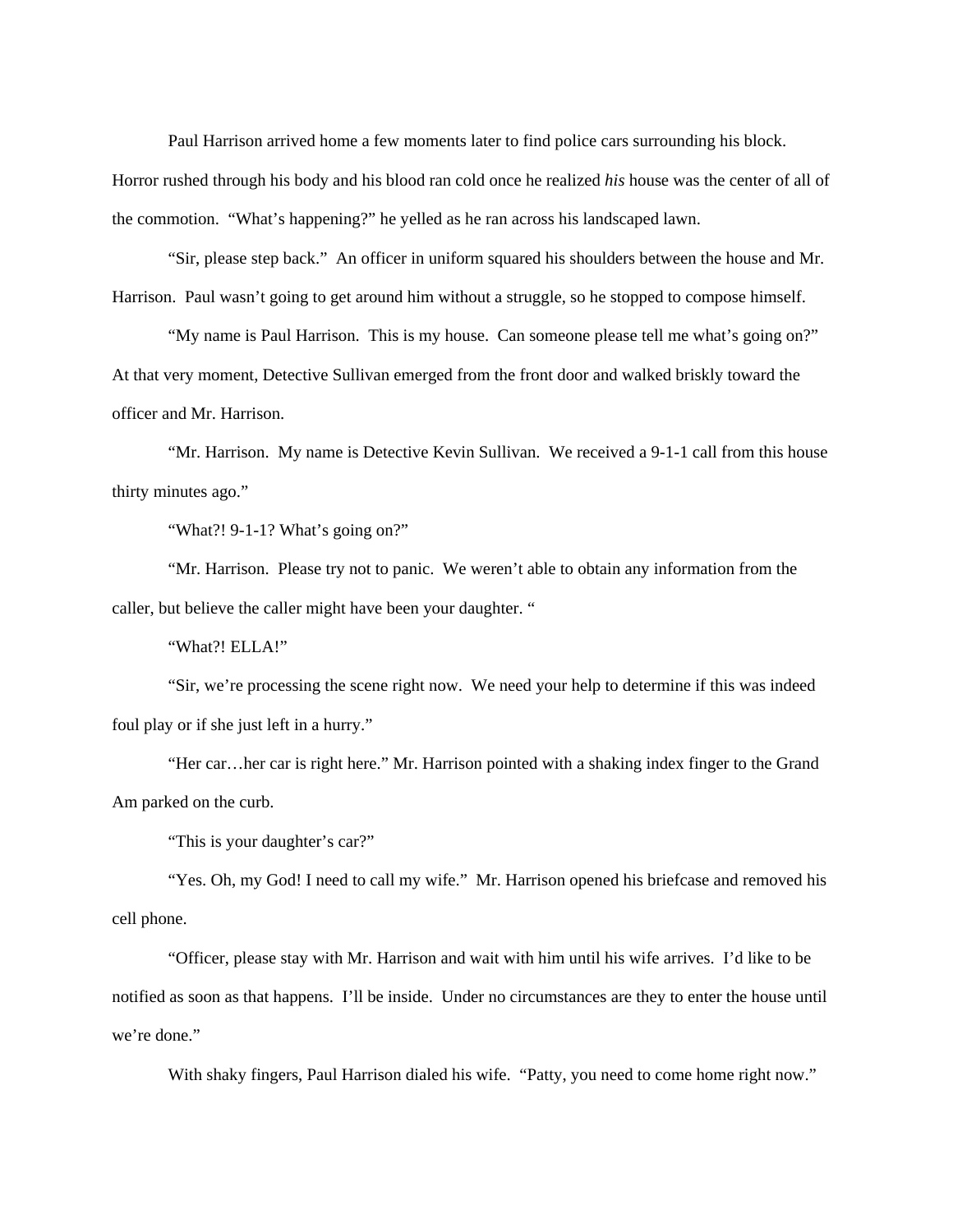Paul Harrison arrived home a few moments later to find police cars surrounding his block. Horror rushed through his body and his blood ran cold once he realized *his* house was the center of all of the commotion. "What's happening?" he yelled as he ran across his landscaped lawn.

"Sir, please step back." An officer in uniform squared his shoulders between the house and Mr. Harrison. Paul wasn't going to get around him without a struggle, so he stopped to compose himself.

"My name is Paul Harrison. This is my house. Can someone please tell me what's going on?" At that very moment, Detective Sullivan emerged from the front door and walked briskly toward the officer and Mr. Harrison.

"Mr. Harrison. My name is Detective Kevin Sullivan. We received a 9-1-1 call from this house thirty minutes ago."

"What?! 9-1-1? What's going on?"

"Mr. Harrison. Please try not to panic. We weren't able to obtain any information from the caller, but believe the caller might have been your daughter. "

"What?! ELLA!"

"Sir, we're processing the scene right now. We need your help to determine if this was indeed foul play or if she just left in a hurry."

"Her car…her car is right here." Mr. Harrison pointed with a shaking index finger to the Grand Am parked on the curb.

"This is your daughter's car?"

"Yes. Oh, my God! I need to call my wife." Mr. Harrison opened his briefcase and removed his cell phone.

"Officer, please stay with Mr. Harrison and wait with him until his wife arrives. I'd like to be notified as soon as that happens. I'll be inside. Under no circumstances are they to enter the house until we're done."

With shaky fingers, Paul Harrison dialed his wife. "Patty, you need to come home right now."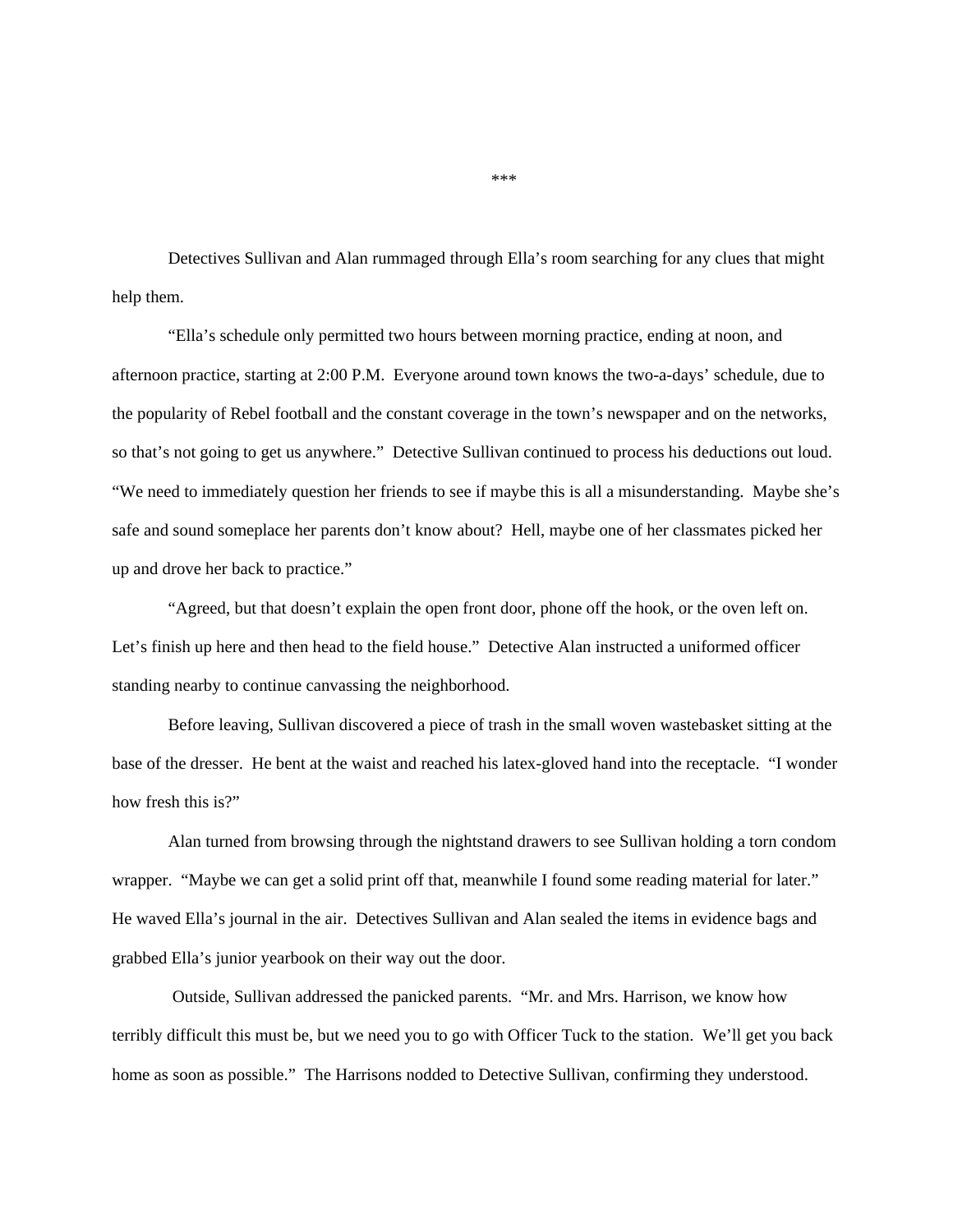Detectives Sullivan and Alan rummaged through Ella's room searching for any clues that might help them.

"Ella's schedule only permitted two hours between morning practice, ending at noon, and afternoon practice, starting at 2:00 P.M. Everyone around town knows the two-a-days' schedule, due to the popularity of Rebel football and the constant coverage in the town's newspaper and on the networks, so that's not going to get us anywhere." Detective Sullivan continued to process his deductions out loud. "We need to immediately question her friends to see if maybe this is all a misunderstanding. Maybe she's safe and sound someplace her parents don't know about? Hell, maybe one of her classmates picked her up and drove her back to practice."

"Agreed, but that doesn't explain the open front door, phone off the hook, or the oven left on. Let's finish up here and then head to the field house." Detective Alan instructed a uniformed officer standing nearby to continue canvassing the neighborhood.

Before leaving, Sullivan discovered a piece of trash in the small woven wastebasket sitting at the base of the dresser. He bent at the waist and reached his latex-gloved hand into the receptacle. "I wonder how fresh this is?"

Alan turned from browsing through the nightstand drawers to see Sullivan holding a torn condom wrapper. "Maybe we can get a solid print off that, meanwhile I found some reading material for later." He waved Ella's journal in the air. Detectives Sullivan and Alan sealed the items in evidence bags and grabbed Ella's junior yearbook on their way out the door.

 Outside, Sullivan addressed the panicked parents. "Mr. and Mrs. Harrison, we know how terribly difficult this must be, but we need you to go with Officer Tuck to the station. We'll get you back home as soon as possible." The Harrisons nodded to Detective Sullivan, confirming they understood.

\*\*\*